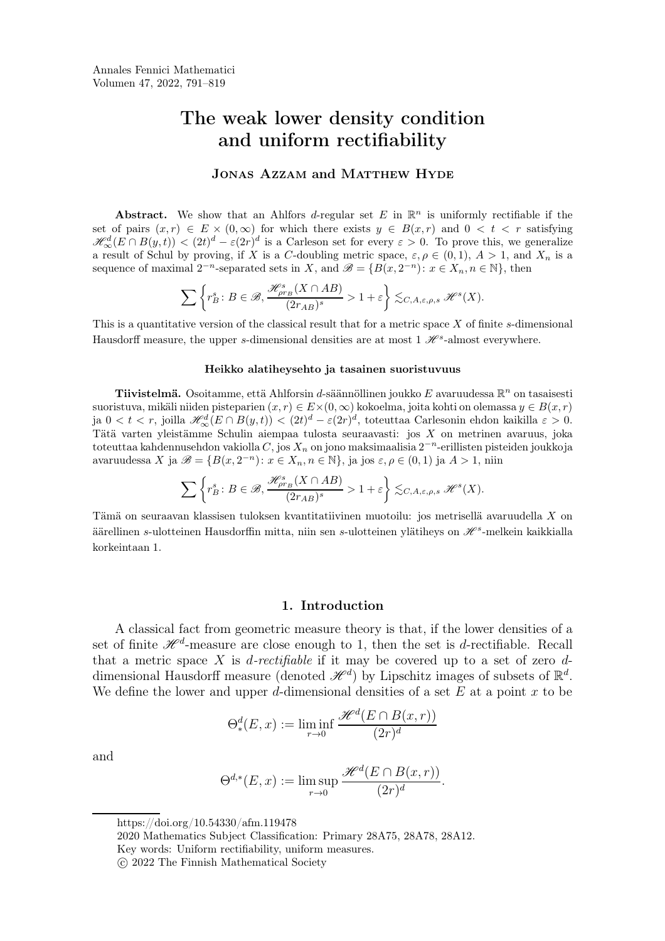# The weak lower density condition and uniform rectifiability

## JONAS AZZAM and MATTHEW HYDE

Abstract. We show that an Ahlfors d-regular set E in  $\mathbb{R}^n$  is uniformly rectifiable if the set of pairs  $(x, r) \in E \times (0, \infty)$  for which there exists  $y \in B(x, r)$  and  $0 < t < r$  satisfying  $\mathscr{H}_{\infty}^{d}(E \cap B(y,t)) < (2t)^{d} - \varepsilon(2r)^{d}$  is a Carleson set for every  $\varepsilon > 0$ . To prove this, we generalize a result of Schul by proving, if X is a C-doubling metric space,  $\varepsilon, \rho \in (0, 1), A > 1$ , and  $X_n$  is a sequence of maximal  $2^{-n}$ -separated sets in X, and  $\mathscr{B} = \{B(x, 2^{-n}) : x \in X_n, n \in \mathbb{N}\}\,$ , then

$$
\sum \left\{r^s_B\colon B\in \mathscr {B}, \frac {\mathscr {H}_{\rho r_B}^s(X\cap AB)}{(2r_{AB})^s}>1+\varepsilon\right\}\lesssim_{C,A,\varepsilon,\rho,s}\mathscr {H}^s(X).
$$

This is a quantitative version of the classical result that for a metric space  $X$  of finite s-dimensional Hausdorff measure, the upper s-dimensional densities are at most  $1 \mathcal{H}^s$ -almost everywhere.

#### Heikko alatiheysehto ja tasainen suoristuvuus

**Tiivistelmä.** Osoitamme, että Ahlforsin d-säännöllinen joukko E avaruudessa  $\mathbb{R}^n$  on tasaisesti suoristuva, mikäli niiden pisteparien  $(x, r) \in E \times (0, \infty)$  kokoelma, joita kohti on olemassa  $y \in B(x, r)$ ja  $0 < t < r$ , joilla  $\mathscr{H}^d_\infty(E \cap B(y,t)) < (2t)^d - \varepsilon(2r)^d$ , toteuttaa Carlesonin ehdon kaikilla  $\varepsilon > 0$ . Tätä varten yleistämme Schulin aiempaa tulosta seuraavasti: jos X on metrinen avaruus, joka toteuttaa kahdennusehdon vakiolla  $C,$  jos  $X_n$  on jono maksimaalisia 2 $^{-n}$ -erillisten pisteiden joukkoja avaruudessa X ja  $\mathscr{B} = \{B(x, 2^{-n}) : x \in X_n, n \in \mathbb{N}\},$  ja jos  $\varepsilon, \rho \in (0, 1)$  ja  $A > 1$ , niin

$$
\sum \left\{r^s_B\colon B\in \mathscr {B}, \frac{\mathscr {H}_{\rho r_B}^s(X\cap AB)}{(2r_{AB})^s}>1+\varepsilon\right\}\lesssim_{C,A,\varepsilon,\rho,s}\mathscr {H}^s(X).
$$

Tämä on seuraavan klassisen tuloksen kvantitatiivinen muotoilu: jos metrisellä avaruudella X on äärellinen s-ulotteinen Hausdorffin mitta, niin sen s-ulotteinen ylätiheys on  $\mathscr H^s$ -melkein kaikkialla kor[ke](#page-0-0)[i](#page-0-1)[n](#page-0-2)taan 1.

## 1. Introduction

A classical fact from geometric measure theory is that, if the lower densities of a set of finite  $\mathscr{H}^d$ -measure are close enough to 1, then the set is *d*-rectifiable. Recall that a metric space X is *d-rectifiable* if it may be covered up to a set of zero  $d$ dimensional Hausdorff measure (denoted  $\mathscr{H}^d$ ) by Lipschitz images of subsets of  $\mathbb{R}^d$ . We define the lower and upper d-dimensional densities of a set  $E$  at a point  $x$  to be

$$
\Theta_*^d(E, x) := \liminf_{r \to 0} \frac{\mathcal{H}^d(E \cap B(x, r))}{(2r)^d}
$$

and

$$
\Theta^{d,*}(E,x) := \limsup_{r \to 0} \frac{\mathcal{H}^d(E \cap B(x,r))}{(2r)^d}.
$$

https://doi.org/10.54330/afm.119478

<span id="page-0-0"></span>2020 Mathematics Subject Classification: Primary 28A75, 28A78, 28A12.

<span id="page-0-1"></span>Key words: Uniform rectifiability, uniform measures.

<span id="page-0-3"></span><span id="page-0-2"></span>c 2022 The Finnish Mathematical Society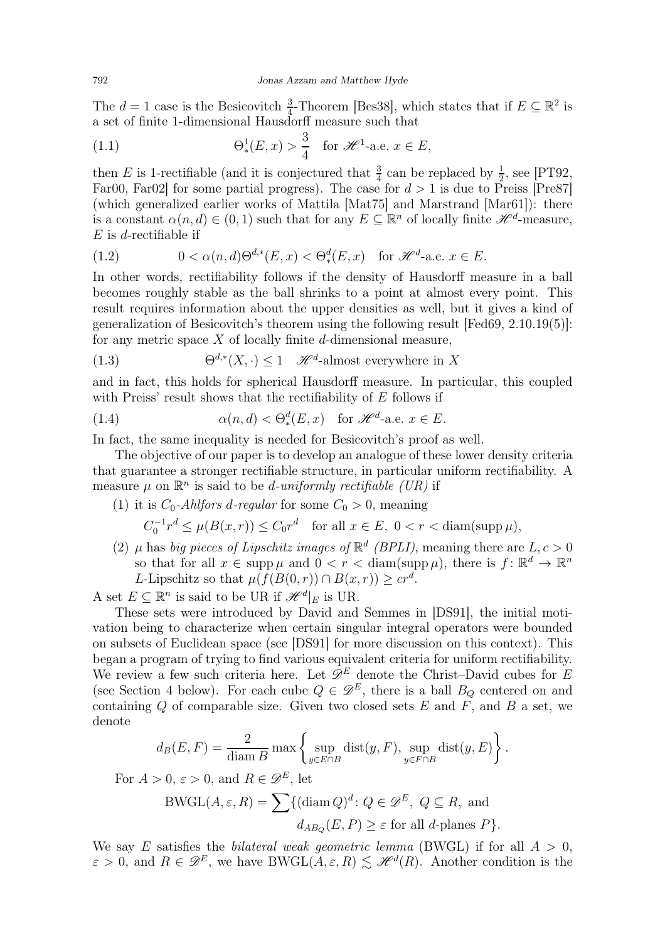The  $d=1$  case is the Besicovitch  $\frac{3}{4}$ -Theorem [\[Bes38\]](#page-27-0), which states that if  $E \subseteq \mathbb{R}^2$  is a set of finite 1-dimensional Hausdorff measure such that

(1.1) 
$$
\Theta_*^1(E, x) > \frac{3}{4}
$$
 for  $\mathcal{H}^1$ -a.e.  $x \in E$ ,

then E is 1-rectifiable (and it is conjectured that  $\frac{3}{4}$  can be replaced by  $\frac{1}{2}$ , see [\[PT92,](#page-28-0) [Far00,](#page-27-1) Far02 for some partial progress). The case for  $d > 1$  is due to Preiss [\[Pre87\]](#page-28-1) (which generalized earlier works of Mattila [\[Mat75\]](#page-27-3) and Marstrand [\[Mar61\]](#page-27-4)): there is a constant  $\alpha(n,d) \in (0,1)$  such that for any  $E \subseteq \mathbb{R}^n$  of locally finite  $\mathscr{H}^d$ -measure,  $E$  is d-rectifiable if

<span id="page-1-0"></span>(1.2) 
$$
0 < \alpha(n,d)\Theta^{d,*}(E,x) < \Theta^d_*(E,x) \quad \text{for } \mathcal{H}^d\text{-a.e. } x \in E.
$$

In other words, rectifiability follows if the density of Hausdorff measure in a ball becomes roughly stable as the ball shrinks to a point at almost every point. This result requires information about the upper densities as well, but it gives a kind of generalization of Besicovitch's theorem using the following result [\[Fed69,](#page-27-5) 2.10.19(5)]: for any metric space  $X$  of locally finite d-dimensional measure,

<span id="page-1-1"></span>(1.3) 
$$
\Theta^{d,*}(X,\cdot) \le 1 \quad \mathscr{H}^d\text{-almost everywhere in } X
$$

and in fact, this holds for spherical Hausdorff measure. In particular, this coupled with Preiss' result shows that the rectifiability of E follows if

(1.4) 
$$
\alpha(n,d) < \Theta_*^d(E,x) \quad \text{for } \mathscr{H}^d\text{-a.e. } x \in E.
$$

In fact, the same inequality is needed for Besicovitch's proof as well.

The objective of our paper is to develop an analogue of these lower density criteria that guarantee a stronger rectifiable structure, in particular uniform rectifiability. A measure  $\mu$  on  $\mathbb{R}^n$  is said to be *d*-uniformly rectifiable (UR) if

(1) it is  $C_0$ -*Ahlfors d-regular* for some  $C_0 > 0$ , meaning

$$
C_0^{-1}r^d \le \mu(B(x,r)) \le C_0r^d \quad \text{for all } x \in E, \ 0 < r < \text{diam}(\text{supp}\,\mu),
$$

(2)  $\mu$  has big pieces of Lipschitz images of  $\mathbb{R}^d$  (BPLI), meaning there are  $L, c > 0$ so that for all  $x \in \text{supp }\mu$  and  $0 < r < \text{diam}(\text{supp }\mu)$ , there is  $f: \mathbb{R}^d \to \mathbb{R}^n$ L-Lipschitz so that  $\mu(f(B(0,r)) \cap B(x,r)) \geq cr^d$ .

A set  $E \subseteq \mathbb{R}^n$  is said to be UR if  $\mathscr{H}^d|_E$  is UR.

These sets were introduced by David and Semmes in [\[DS91\]](#page-27-6), the initial motivation being to characterize when certain singular integral operators were bounded on subsets of Euclidean space (see [\[DS91\]](#page-27-6) for more discussion on this context). This began a program of trying to find various equivalent criteria for uniform rectifiability. We review a few such criteria here. Let  $\mathscr{D}^E$  denote the Christ–David cubes for E (see Section [4](#page-7-0) below). For each cube  $Q \in \mathscr{D}^E$ , there is a ball  $B_Q$  centered on and containing  $Q$  of comparable size. Given two closed sets  $E$  and  $F$ , and  $B$  a set, we denote

$$
d_B(E, F) = \frac{2}{\text{diam } B} \max \left\{ \sup_{y \in E \cap B} \text{dist}(y, F), \sup_{y \in F \cap B} \text{dist}(y, E) \right\}.
$$

For  $A > 0$ ,  $\varepsilon > 0$ , and  $R \in \mathscr{D}^E$ , let

BWGL(A, \varepsilon, R) = 
$$
\sum
$$
 { $(\text{diam }Q)^d$ :  $Q \in \mathcal{D}^E$ ,  $Q \subseteq R$ , and  
 $d_{AB_Q}(E, P) \ge \varepsilon$  for all d-planes P}.

We say E satisfies the *bilateral weak geometric lemma* (BWGL) if for all  $A > 0$ ,  $\varepsilon > 0$ , and  $R \in \mathscr{D}^E$ , we have BWGL $(A, \varepsilon, R) \lesssim \mathscr{H}^d(R)$ . Another condition is the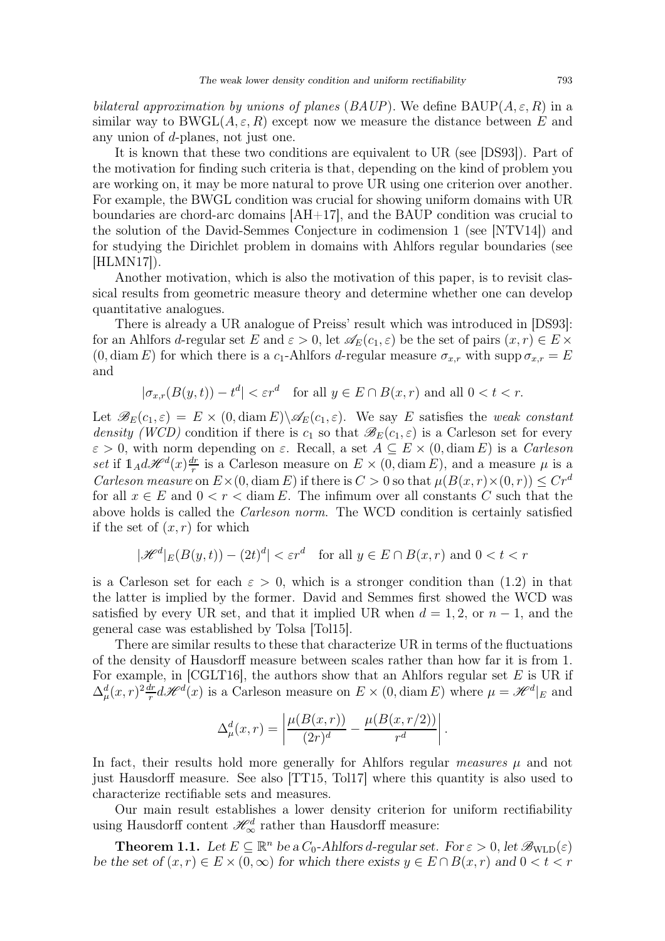bilateral approximation by unions of planes (BAUP). We define BAUP $(A, \varepsilon, R)$  in a similar way to BWGL $(A, \varepsilon, R)$  except now we measure the distance between E and any union of d-planes, not just one.

It is known that these two conditions are equivalent to UR (see [\[DS93\]](#page-27-7)). Part of the motivation for finding such criteria is that, depending on the kind of problem you are working on, it may be more natural to prove UR using one criterion over another. For example, the BWGL condition was crucial for showing uniform domains with UR boundaries are chord-arc domains [\[AH+17\]](#page-27-8), and the BAUP condition was crucial to the solution of the David-Semmes Conjecture in codimension 1 (see [\[NTV14\]](#page-28-2)) and for studying the Dirichlet problem in domains with Ahlfors regular boundaries (see [\[HLMN17\]](#page-27-9)).

Another motivation, which is also the motivation of this paper, is to revisit classical results from geometric measure theory and determine whether one can develop quantitative analogues.

There is already a UR analogue of Preiss' result which was introduced in [\[DS93\]](#page-27-7): for an Ahlfors d-regular set E and  $\varepsilon > 0$ , let  $\mathscr{A}_E(c_1, \varepsilon)$  be the set of pairs  $(x, r) \in E \times$  $(0, \text{diam } E)$  for which there is a c<sub>1</sub>-Ahlfors d-regular measure  $\sigma_{x,r}$  with supp  $\sigma_{x,r} = E$ and

$$
|\sigma_{x,r}(B(y,t)) - t^d| < \varepsilon r^d \quad \text{for all } y \in E \cap B(x,r) \text{ and all } 0 < t < r.
$$

Let  $\mathscr{B}_E(c_1,\varepsilon) = E \times (0, \text{diam } E) \setminus \mathscr{A}_E(c_1,\varepsilon)$ . We say E satisfies the weak constant density (WCD) condition if there is  $c_1$  so that  $\mathscr{B}_E(c_1,\varepsilon)$  is a Carleson set for every  $\varepsilon > 0$ , with norm depending on  $\varepsilon$ . Recall, a set  $A \subseteq E \times (0, \text{diam } E)$  is a *Carleson* set if  $\mathbb{1}_A d\mathscr{H}^d(x) \frac{dr}{r}$  $\frac{dr}{r}$  is a Carleson measure on  $E \times (0, \text{diam } E)$ , and a measure  $\mu$  is a Carleson measure on  $E\times(0, \text{diam } E)$  if there is  $C>0$  so that  $\mu(B(x, r)\times(0, r))\leq Cr^d$ for all  $x \in E$  and  $0 < r < \text{diam } E$ . The infimum over all constants C such that the above holds is called the Carleson norm. The WCD condition is certainly satisfied if the set of  $(x, r)$  for which

$$
|\mathcal{H}^d|_E(B(y,t)) - (2t)^d| < \varepsilon r^d \quad \text{for all } y \in E \cap B(x,r) \text{ and } 0 < t < r
$$

is a Carleson set for each  $\varepsilon > 0$ , which is a stronger condition than  $(1.2)$  in that the latter is implied by the former. David and Semmes first showed the WCD was satisfied by every UR set, and that it implied UR when  $d = 1, 2, \text{ or } n-1$ , and the general case was established by Tolsa [\[Tol15\]](#page-28-3).

There are similar results to these that characterize UR in terms of the fluctuations of the density of Hausdorff measure between scales rather than how far it is from 1. For example, in [\[CGLT16\]](#page-27-10), the authors show that an Ahlfors regular set  $E$  is UR if  $\Delta_\mu^d(x,r)^2\frac{dr}{r}$  $\frac{dr}{dt}d\mathscr{H}^{d}(x)$  is a Carleson measure on  $E \times (0, \text{diam } E)$  where  $\mu = \mathscr{H}^{d}|_{E}$  and

$$
\Delta_{\mu}^d(x,r) = \left| \frac{\mu(B(x,r))}{(2r)^d} - \frac{\mu(B(x,r/2))}{r^d} \right|.
$$

In fact, their results hold more generally for Ahlfors regular *measures*  $\mu$  and not just Hausdorff measure. See also [\[TT15,](#page-28-4) [Tol17\]](#page-28-5) where this quantity is also used to characterize rectifiable sets and measures.

Our main result establishes a lower density criterion for uniform rectifiability using Hausdorff content  $\mathscr{H}^d_\infty$  rather than Hausdorff measure:

<span id="page-2-0"></span>**Theorem 1.1.** Let  $E \subseteq \mathbb{R}^n$  be a  $C_0$ -Ahlfors d-regular set. For  $\varepsilon > 0$ , let  $\mathscr{B}_{\text{WLD}}(\varepsilon)$ be the set of  $(x, r) \in E \times (0, \infty)$  for which there exists  $y \in E \cap B(x, r)$  and  $0 < t < r$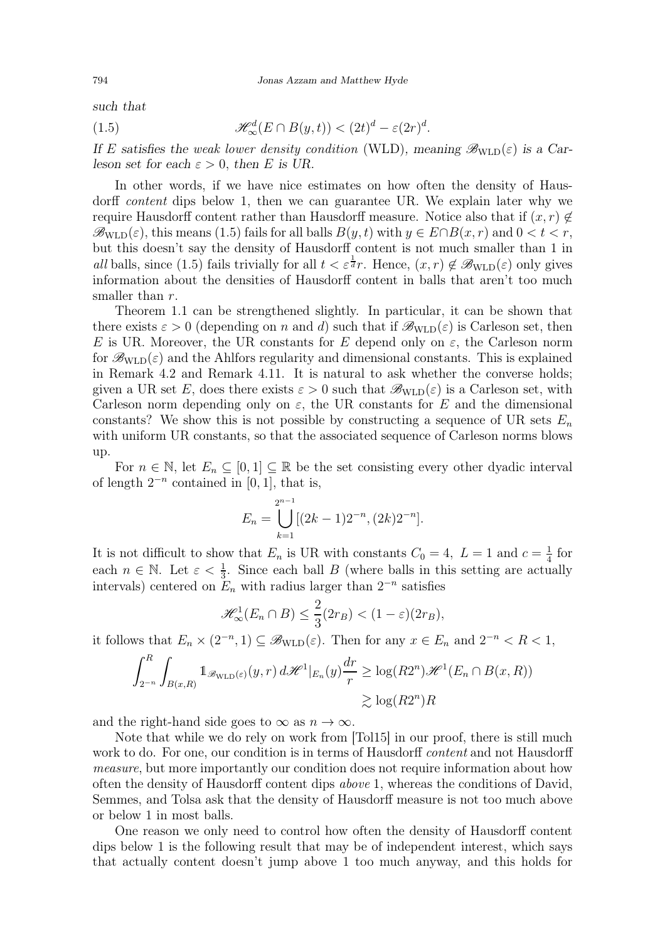such that

<span id="page-3-0"></span>(1.5) 
$$
\mathscr{H}_{\infty}^{d}(E \cap B(y,t)) < (2t)^{d} - \varepsilon (2r)^{d}.
$$

If E satisfies the weak lower density condition (WLD), meaning  $\mathscr{B}_{\text{WLD}}(\varepsilon)$  is a Carleson set for each  $\varepsilon > 0$ , then E is UR.

In other words, if we have nice estimates on how often the density of Hausdorff content dips below 1, then we can guarantee UR. We explain later why we require Hausdorff content rather than Hausdorff measure. Notice also that if  $(x, r) \notin$  $\mathscr{B}_{\text{WLD}}(\varepsilon)$ , this means [\(1.5\)](#page-3-0) fails for all balls  $B(y, t)$  with  $y \in E \cap B(x, r)$  and  $0 < t < r$ , but this doesn't say the density of Hausdorff content is not much smaller than 1 in all balls, since [\(1.5\)](#page-3-0) fails trivially for all  $t < \varepsilon^{\frac{1}{d}} r$ . Hence,  $(x, r) \notin \mathscr{B}_{\text{WLD}}(\varepsilon)$  only gives information about the densities of Hausdorff content in balls that aren't too much smaller than r.

Theorem [1.1](#page-2-0) can be strengthened slightly. In particular, it can be shown that there exists  $\varepsilon > 0$  (depending on n and d) such that if  $\mathscr{B}_{\text{WLD}}(\varepsilon)$  is Carleson set, then E is UR. Moreover, the UR constants for E depend only on  $\varepsilon$ , the Carleson norm for  $\mathscr{B}_{\text{WLD}}(\varepsilon)$  and the Ahlfors regularity and dimensional constants. This is explained in Remark [4.2](#page-8-0) and Remark [4.11.](#page-12-0) It is natural to ask whether the converse holds; given a UR set E, does there exists  $\varepsilon > 0$  such that  $\mathscr{B}_{\text{WLD}}(\varepsilon)$  is a Carleson set, with Carleson norm depending only on  $\varepsilon$ , the UR constants for E and the dimensional constants? We show this is not possible by constructing a sequence of UR sets  $E_n$ with uniform UR constants, so that the associated sequence of Carleson norms blows up.

For  $n \in \mathbb{N}$ , let  $E_n \subseteq [0,1] \subseteq \mathbb{R}$  be the set consisting every other dyadic interval of length  $2^{-n}$  contained in [0, 1], that is,

$$
E_n = \bigcup_{k=1}^{2^{n-1}} [(2k-1)2^{-n}, (2k)2^{-n}].
$$

It is not difficult to show that  $E_n$  is UR with constants  $C_0 = 4$ ,  $L = 1$  and  $c = \frac{1}{4}$  $rac{1}{4}$  for each  $n \in \mathbb{N}$ . Let  $\varepsilon < \frac{1}{3}$ . Since each ball B (where balls in this setting are actually intervals) centered on  $E_n$  with radius larger than  $2^{-n}$  satisfies

$$
\mathscr{H}^1_{\infty}(E_n \cap B) \leq \frac{2}{3}(2r_B) < (1 - \varepsilon)(2r_B),
$$

it follows that  $E_n \times (2^{-n}, 1) \subseteq \mathscr{B}_{\text{WLD}}(\varepsilon)$ . Then for any  $x \in E_n$  and  $2^{-n} < R < 1$ ,

$$
\int_{2^{-n}}^{R} \int_{B(x,R)} \mathbb{1}_{\mathcal{B}_{\text{WLD}}(\varepsilon)}(y,r) d\mathcal{H}^{1}|_{E_n}(y) \frac{dr}{r} \ge \log(R2^n) \mathcal{H}^{1}(E_n \cap B(x,R))
$$
  

$$
\ge \log(R2^n)R
$$

and the right-hand side goes to  $\infty$  as  $n \to \infty$ .

Note that while we do rely on work from [\[Tol15\]](#page-28-3) in our proof, there is still much work to do. For one, our condition is in terms of Hausdorff *content* and not Hausdorff measure, but more importantly our condition does not require information about how often the density of Hausdorff content dips above 1, whereas the conditions of David, Semmes, and Tolsa ask that the density of Hausdorff measure is not too much above or below 1 in most balls.

One reason we only need to control how often the density of Hausdorff content dips below 1 is the following result that may be of independent interest, which says that actually content doesn't jump above 1 too much anyway, and this holds for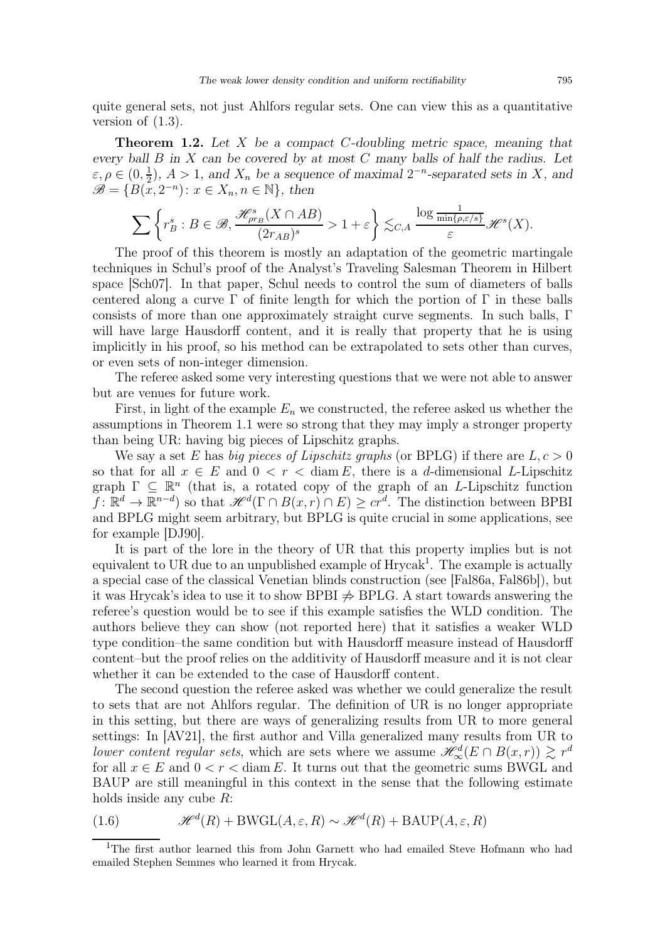quite general sets, not just Ahlfors regular sets. One can view this as a quantitative version of  $(1.3)$ .

<span id="page-4-1"></span>**Theorem 1.2.** Let X be a compact C-doubling metric space, meaning that every ball  $B$  in  $X$  can be covered by at most  $C$  many balls of half the radius. Let  $\varepsilon, \rho \in (0, \frac{1}{2})$  $\frac{1}{2}$ ,  $A > 1$ , and  $X_n$  be a sequence of maximal  $2^{-n}$ -separated sets in X, and  $\mathscr{B} = \{B(x, 2^{-n}) : x \in X_n, n \in \mathbb{N}\},\$  then

$$
\sum \left\{r^s_B: B\in \mathscr B, \frac{\mathscr H^s_{\rho r_B}(X\cap AB)}{(2r_{AB})^s}>1+\varepsilon\right\}\lesssim_{C, A} \frac{\log \frac{1}{\min\{\rho,\varepsilon/s\}}}{\varepsilon}\mathscr H^s(X).
$$

The proof of this theorem is mostly an adaptation of the geometric martingale techniques in Schul's proof of the Analyst's Traveling Salesman Theorem in Hilbert space [\[Sch07\]](#page-28-6). In that paper, Schul needs to control the sum of diameters of balls centered along a curve  $\Gamma$  of finite length for which the portion of  $\Gamma$  in these balls consists of more than one approximately straight curve segments. In such balls, Γ will have large Hausdorff content, and it is really that property that he is using implicitly in his proof, so his method can be extrapolated to sets other than curves, or even sets of non-integer dimension.

The referee asked some very interesting questions that we were not able to answer but are venues for future work.

First, in light of the example  $E_n$  we constructed, the referee asked us whether the assumptions in Theorem [1.1](#page-2-0) were so strong that they may imply a stronger property than being UR: having big pieces of Lipschitz graphs.

We say a set E has big pieces of Lipschitz graphs (or BPLG) if there are  $L, c > 0$ so that for all  $x \in E$  and  $0 < r <$  diam E, there is a d-dimensional L-Lipschitz graph  $\Gamma \subseteq \mathbb{R}^n$  (that is, a rotated copy of the graph of an L-Lipschitz function  $f: \mathbb{R}^d \to \mathbb{R}^{n-d}$  so that  $\mathscr{H}^d(\Gamma \cap B(x,r) \cap E) \geq cr^d$ . The distinction between BPBI and BPLG might seem arbitrary, but BPLG is quite crucial in some applications, see for example [\[DJ90\]](#page-27-11).

It is part of the lore in the theory of UR that this property implies but is not equivalent to UR due to an unpublished example of Hrycak<sup>[1](#page-4-0)</sup>. The example is actually a special case of the classical Venetian blinds construction (see [\[Fal86a,](#page-27-12) [Fal86b\]](#page-27-13)), but it was Hrycak's idea to use it to show BPBI  $\Rightarrow$  BPLG. A start towards answering the referee's question would be to see if this example satisfies the WLD condition. The authors believe they can show (not reported here) that it satisfies a weaker WLD type condition–the same condition but with Hausdorff measure instead of Hausdorff content–but the proof relies on the additivity of Hausdorff measure and it is not clear whether it can be extended to the case of Hausdorff content.

The second question the referee asked was whether we could generalize the result to sets that are not Ahlfors regular. The definition of UR is no longer appropriate in this setting, but there are ways of generalizing results from UR to more general settings: In [\[AV21\]](#page-27-14), the first author and Villa generalized many results from UR to lower content regular sets, which are sets where we assume  $\mathscr{H}^{d}_{\infty}(E \cap B(x,r)) \gtrsim r^{d}$ for all  $x \in E$  and  $0 < r <$  diam E. It turns out that the geometric sums BWGL and BAUP are still meaningful in this context in the sense that the following estimate holds inside any cube R:

(1.6) 
$$
\mathcal{H}^{d}(R) + BWGL(A, \varepsilon, R) \sim \mathcal{H}^{d}(R) + BAUP(A, \varepsilon, R)
$$

<span id="page-4-0"></span><sup>1</sup>The first author learned this from John Garnett who had emailed Steve Hofmann who had emailed Stephen Semmes who learned it from Hrycak.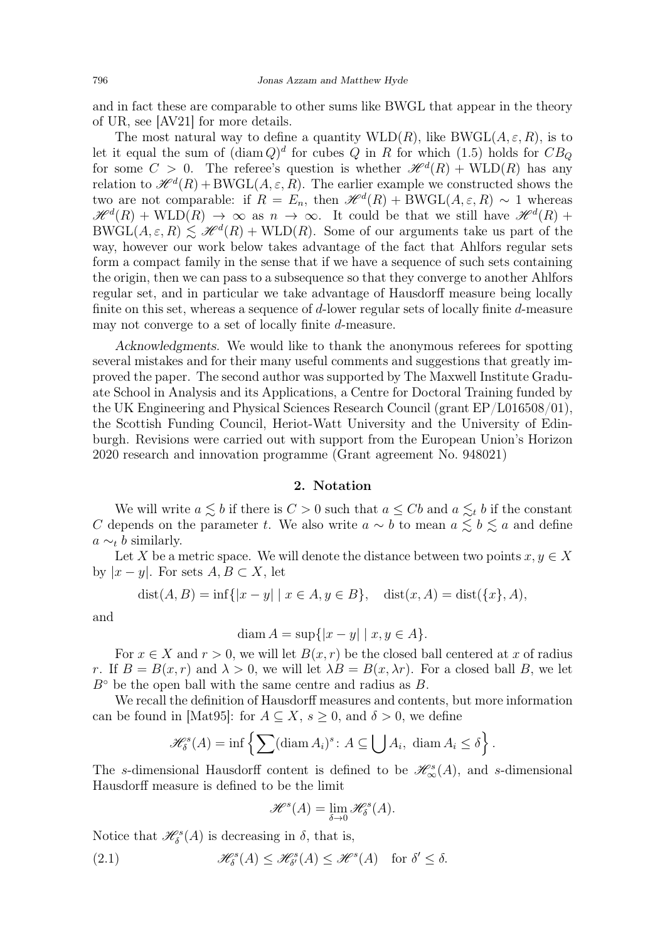and in fact these are comparable to other sums like BWGL that appear in the theory of UR, see [\[AV21\]](#page-27-14) for more details.

The most natural way to define a quantity  $WLD(R)$ , like BWGL $(A, \varepsilon, R)$ , is to let it equal the sum of  $(\text{diam } Q)^d$  for cubes Q in R for which  $(1.5)$  holds for  $CB_Q$ for some  $C > 0$ . The referee's question is whether  $\mathcal{H}^{d}(R) + \text{WLD}(R)$  has any relation to  $\mathscr{H}^{d}(R) + \text{BWGL}(A, \varepsilon, R)$ . The earlier example we constructed shows the two are not comparable: if  $R = E_n$ , then  $\mathcal{H}^d(R) + B\text{WGL}(A,\varepsilon,R) \sim 1$  whereas  $\mathscr{H}^d(R) + \text{WLD}(R) \rightarrow \infty$  as  $n \rightarrow \infty$ . It could be that we still have  $\mathscr{H}^d(R)$  +  $BWGL(A, \varepsilon, R) \lesssim \mathcal{H}^d(R) + WLD(R)$ . Some of our arguments take us part of the way, however our work below takes advantage of the fact that Ahlfors regular sets form a compact family in the sense that if we have a sequence of such sets containing the origin, then we can pass to a subsequence so that they converge to another Ahlfors regular set, and in particular we take advantage of Hausdorff measure being locally finite on this set, whereas a sequence of d-lower regular sets of locally finite d-measure may not converge to a set of locally finite d-measure.

Acknowledgments. We would like to thank the anonymous referees for spotting several mistakes and for their many useful comments and suggestions that greatly improved the paper. The second author was supported by The Maxwell Institute Graduate School in Analysis and its Applications, a Centre for Doctoral Training funded by the UK Engineering and Physical Sciences Research Council (grant EP/L016508/01), the Scottish Funding Council, Heriot-Watt University and the University of Edinburgh. Revisions were carried out with support from the European Union's Horizon 2020 research and innovation programme (Grant agreement No. 948021)

#### 2. Notation

We will write  $a \lesssim b$  if there is  $C > 0$  such that  $a \leq Cb$  and  $a \lesssim_t b$  if the constant C depends on the parameter t. We also write  $a \sim b$  to mean  $a \lesssim b \lesssim a$  and define  $a \sim_t b$  similarly.

Let X be a metric space. We will denote the distance between two points  $x, y \in X$ by  $|x-y|$ . For sets  $A, B \subset X$ , let

$$
dist(A, B) = inf\{|x - y| | x \in A, y \in B\}, \quad dist(x, A) = dist(\{x\}, A),
$$

and

$$
\operatorname{diam} A = \sup\{|x - y| \mid x, y \in A\}.
$$

For  $x \in X$  and  $r > 0$ , we will let  $B(x, r)$  be the closed ball centered at x of radius r. If  $B = B(x, r)$  and  $\lambda > 0$ , we will let  $\lambda B = B(x, \lambda r)$ . For a closed ball B, we let  $B^{\circ}$  be the open ball with the same centre and radius as B.

We recall the definition of Hausdorff measures and contents, but more information can be found in [\[Mat95\]](#page-27-15): for  $A \subseteq X$ ,  $s \geq 0$ , and  $\delta > 0$ , we define

$$
\mathscr{H}_{\delta}^{s}(A) = \inf \left\{ \sum (\operatorname{diam} A_{i})^{s} : A \subseteq \bigcup A_{i}, \, \operatorname{diam} A_{i} \leq \delta \right\}.
$$

The s-dimensional Hausdorff content is defined to be  $\mathscr{H}_{\infty}^{s}(A)$ , and s-dimensional Hausdorff measure is defined to be the limit

<span id="page-5-0"></span>
$$
\mathscr{H}^s(A) = \lim_{\delta \to 0} \mathscr{H}^s_{\delta}(A).
$$

Notice that  $\mathcal{H}_{\delta}^{s}(A)$  is decreasing in  $\delta$ , that is,

(2.1)  $\mathscr{H}_{\delta}^{s}(A) \leq \mathscr{H}_{\delta'}^{s}(A) \leq \mathscr{H}^{s}(A) \text{ for } \delta' \leq \delta.$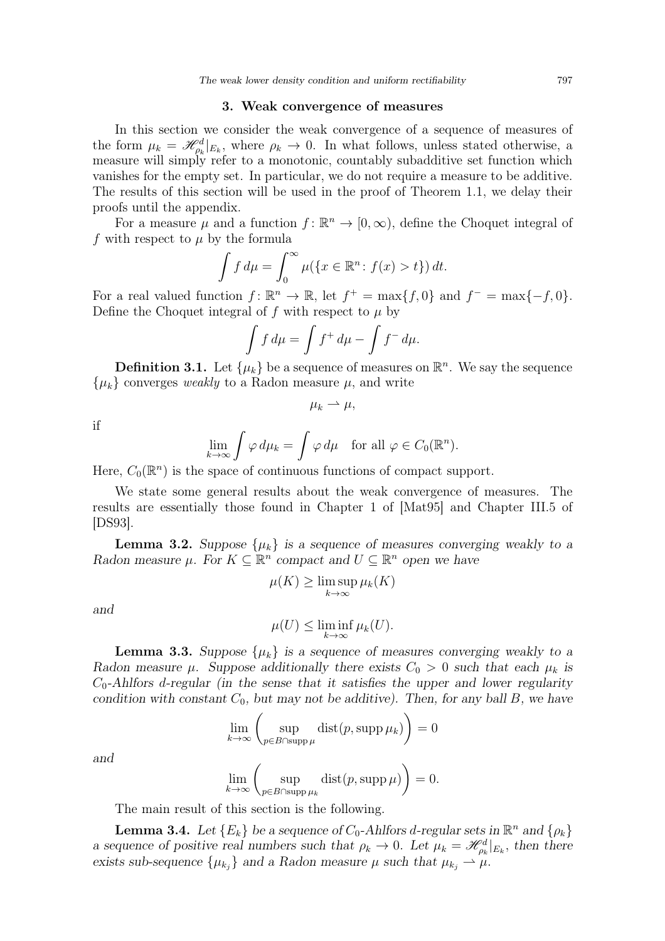### 3. Weak convergence of measures

<span id="page-6-3"></span>In this section we consider the weak convergence of a sequence of measures of the form  $\mu_k = \mathcal{H}_{\rho_k}^d|_{E_k}$ , where  $\rho_k \to 0$ . In what follows, unless stated otherwise, a measure will simply refer to a monotonic, countably subadditive set function which vanishes for the empty set. In particular, we do not require a measure to be additive. The results of this section will be used in the proof of Theorem [1.1,](#page-2-0) we delay their proofs until the appendix.

For a measure  $\mu$  and a function  $f: \mathbb{R}^n \to [0, \infty)$ , define the Choquet integral of f with respect to  $\mu$  by the formula

$$
\int f d\mu = \int_0^\infty \mu(\{x \in \mathbb{R}^n : f(x) > t\}) dt.
$$

For a real valued function  $f: \mathbb{R}^n \to \mathbb{R}$ , let  $f^+ = \max\{f, 0\}$  and  $f^- = \max\{-f, 0\}$ . Define the Choquet integral of f with respect to  $\mu$  by

$$
\int f d\mu = \int f^+ d\mu - \int f^- d\mu.
$$

**Definition 3.1.** Let  $\{\mu_k\}$  be a sequence of measures on  $\mathbb{R}^n$ . We say the sequence  $\{\mu_k\}$  converges *weakly* to a Radon measure  $\mu$ , and write

$$
\mu_k \rightharpoonup \mu,
$$

if

$$
\lim_{k \to \infty} \int \varphi \, d\mu_k = \int \varphi \, d\mu \quad \text{for all } \varphi \in C_0(\mathbb{R}^n).
$$

Here,  $C_0(\mathbb{R}^n)$  is the space of continuous functions of compact support.

We state some general results about the weak convergence of measures. The results are essentially those found in Chapter 1 of [\[Mat95\]](#page-27-15) and Chapter III.5 of [\[DS93\]](#page-27-7).

<span id="page-6-1"></span>**Lemma 3.2.** Suppose  $\{\mu_k\}$  is a sequence of measures converging weakly to a Radon measure  $\mu$ . For  $K \subseteq \mathbb{R}^n$  compact and  $U \subseteq \mathbb{R}^n$  open we have

$$
\mu(K) \ge \limsup_{k \to \infty} \mu_k(K)
$$

and

$$
\mu(U) \le \liminf_{k \to \infty} \mu_k(U).
$$

<span id="page-6-0"></span>**Lemma 3.3.** Suppose  $\{\mu_k\}$  is a sequence of measures converging weakly to a Radon measure  $\mu$ . Suppose additionally there exists  $C_0 > 0$  such that each  $\mu_k$  is  $C_0$ -Ahlfors d-regular (in the sense that it satisfies the upper and lower regularity condition with constant  $C_0$ , but may not be additive). Then, for any ball B, we have

$$
\lim_{k \to \infty} \left( \sup_{p \in B \cap \text{supp }\mu} \text{dist}(p, \text{supp }\mu_k) \right) = 0
$$
  

$$
\lim_{k \to \infty} \left( \sup_{p \in B \cap \text{supp }\mu_k} \text{dist}(p, \text{supp }\mu) \right) = 0.
$$

and

The main result of this section is the following.

<span id="page-6-2"></span>**Lemma 3.4.** Let  ${E_k}$  be a sequence of  $C_0$ -Ahlfors d-regular sets in  $\mathbb{R}^n$  and  ${\rho_k}$ a sequence of positive real numbers such that  $\rho_k \to 0$ . Let  $\mu_k = \mathcal{H}_{\rho_k}^d|_{E_k}$ , then there exists sub-sequence  $\{\mu_{k_j}\}\$  and a Radon measure  $\mu$  such that  $\mu_{k_j} \to \mu$ .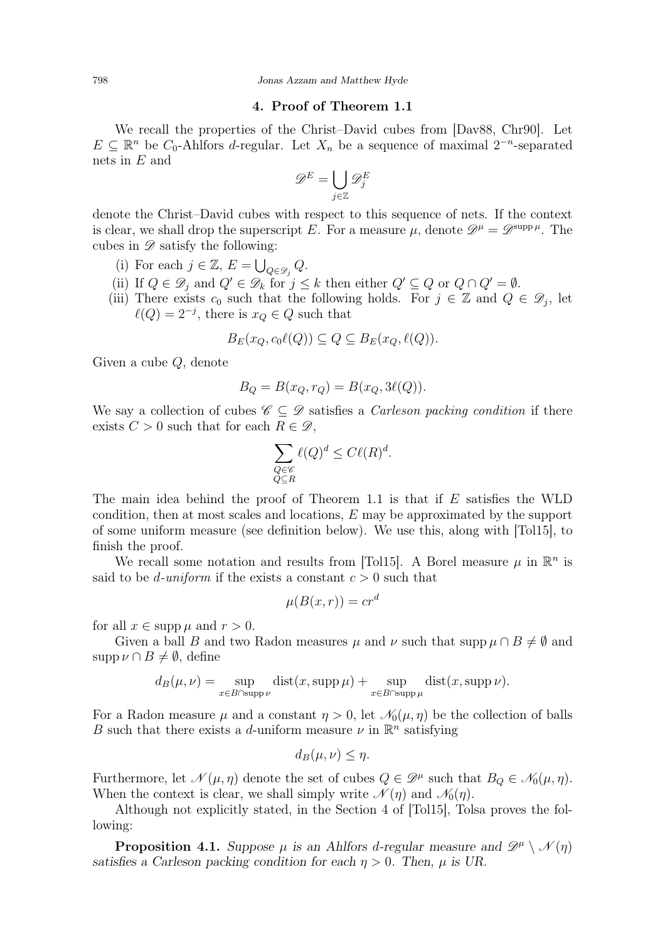## 4. Proof of Theorem [1.1](#page-2-0)

<span id="page-7-0"></span>We recall the properties of the Christ–David cubes from [\[Dav88,](#page-27-16) [Chr90\]](#page-27-17). Let  $E \subseteq \mathbb{R}^n$  be  $C_0$ -Ahlfors d-regular. Let  $X_n$  be a sequence of maximal  $2^{-n}$ -separated nets in E and

$$
\mathscr{D}^E = \bigcup_{j \in \mathbb{Z}} \mathscr{D}^E_j
$$

denote the Christ–David cubes with respect to this sequence of nets. If the context is clear, we shall drop the superscript E. For a measure  $\mu$ , denote  $\mathscr{D}^{\mu} = \mathscr{D}^{\text{supp}\,\mu}$ . The cubes in  $\mathscr{D}$  satisfy the following:

- (i) For each  $j \in \mathbb{Z}$ ,  $E = \bigcup_{Q \in \mathscr{D}_j} Q$ .
- (ii) If  $Q \in \mathscr{D}_j$  and  $Q' \in \mathscr{D}_k$  for  $j \leq k$  then either  $Q' \subseteq Q$  or  $Q \cap Q' = \emptyset$ .
- (iii) There exists  $c_0$  such that the following holds. For  $j \in \mathbb{Z}$  and  $Q \in \mathscr{D}_j$ , let  $\ell(Q) = 2^{-j}$ , there is  $x_Q \in Q$  such that

$$
B_E(x_Q, c_0 \ell(Q)) \subseteq Q \subseteq B_E(x_Q, \ell(Q)).
$$

Given a cube Q, denote

$$
B_Q = B(x_Q, r_Q) = B(x_Q, 3\ell(Q)).
$$

We say a collection of cubes  $\mathscr{C} \subset \mathscr{D}$  satisfies a *Carleson packing condition* if there exists  $C > 0$  such that for each  $R \in \mathcal{D}$ ,

$$
\sum_{\substack{Q \in \mathscr{C} \\ Q \subseteq R}} \ell(Q)^d \le C\ell(R)^d.
$$

The main idea behind the proof of Theorem [1.1](#page-2-0) is that if  $E$  satisfies the WLD condition, then at most scales and locations, E may be approximated by the support of some uniform measure (see definition below). We use this, along with [\[Tol15\]](#page-28-3), to finish the proof.

We recall some notation and results from [\[Tol15\]](#page-28-3). A Borel measure  $\mu$  in  $\mathbb{R}^n$  is said to be *d*-uniform if the exists a constant  $c > 0$  such that

$$
\mu(B(x,r)) = cr^d
$$

for all  $x \in \text{supp } \mu$  and  $r > 0$ .

Given a ball B and two Radon measures  $\mu$  and  $\nu$  such that supp  $\mu \cap B \neq \emptyset$  and  $\text{supp }\nu\cap B\neq\emptyset$ , define

$$
d_B(\mu, \nu) = \sup_{x \in B \cap \text{supp}\,\nu} \text{dist}(x, \text{supp}\,\mu) + \sup_{x \in B \cap \text{supp}\,\mu} \text{dist}(x, \text{supp}\,\nu).
$$

For a Radon measure  $\mu$  and a constant  $\eta > 0$ , let  $\mathcal{N}_0(\mu, \eta)$  be the collection of balls B such that there exists a d-uniform measure  $\nu$  in  $\mathbb{R}^n$  satisfying

$$
d_B(\mu,\nu) \leq \eta.
$$

Furthermore, let  $\mathcal{N}(\mu, \eta)$  denote the set of cubes  $Q \in \mathcal{D}^{\mu}$  such that  $B_Q \in \mathcal{N}_0(\mu, \eta)$ . When the context is clear, we shall simply write  $\mathcal{N}(\eta)$  and  $\mathcal{N}_0(\eta)$ .

Although not explicitly stated, in the Section 4 of [\[Tol15\]](#page-28-3), Tolsa proves the following:

<span id="page-7-1"></span>**Proposition 4.1.** Suppose  $\mu$  is an Ahlfors d-regular measure and  $\mathscr{D}^{\mu} \setminus \mathscr{N}(\eta)$ satisfies a Carleson packing condition for each  $\eta > 0$ . Then,  $\mu$  is UR.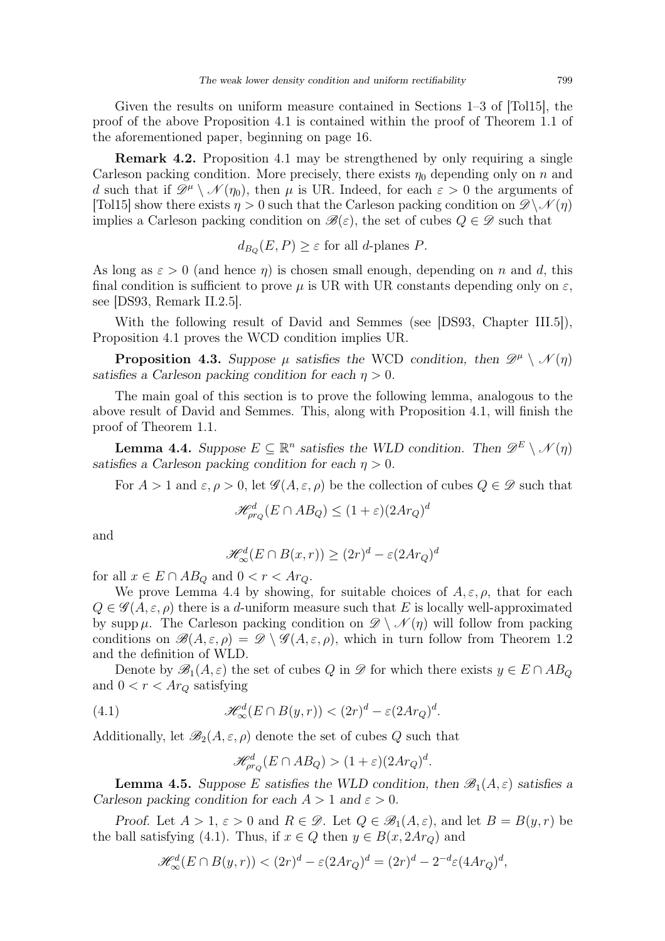Given the results on uniform measure contained in Sections 1–3 of [\[Tol15\]](#page-28-3), the proof of the above Proposition [4.1](#page-7-1) is contained within the proof of Theorem 1.1 of the aforementioned paper, beginning on page 16.

<span id="page-8-0"></span>Remark 4.2. Proposition [4.1](#page-7-1) may be strengthened by only requiring a single Carleson packing condition. More precisely, there exists  $\eta_0$  depending only on n and d such that if  $\mathscr{D}^{\mu} \setminus \mathscr{N}(\eta_0)$ , then  $\mu$  is UR. Indeed, for each  $\varepsilon > 0$  the arguments of [\[Tol15\]](#page-28-3) show there exists  $\eta > 0$  such that the Carleson packing condition on  $\mathscr{D}\setminus\mathscr{N}(\eta)$ implies a Carleson packing condition on  $\mathscr{B}(\varepsilon)$ , the set of cubes  $Q \in \mathscr{D}$  such that

$$
d_{B_Q}(E, P) \ge \varepsilon
$$
 for all d-planes P.

As long as  $\varepsilon > 0$  (and hence  $\eta$ ) is chosen small enough, depending on n and d, this final condition is sufficient to prove  $\mu$  is UR with UR constants depending only on  $\varepsilon$ , see [\[DS93,](#page-27-7) Remark II.2.5].

With the following result of David and Semmes (see [\[DS93,](#page-27-7) Chapter III.5]), Proposition [4.1](#page-7-1) proves the WCD condition implies UR.

**Proposition 4.3.** Suppose  $\mu$  satisfies the WCD condition, then  $\mathscr{D}^{\mu} \setminus \mathscr{N}(\eta)$ satisfies a Carleson packing condition for each  $\eta > 0$ .

The main goal of this section is to prove the following lemma, analogous to the above result of David and Semmes. This, along with Proposition [4.1,](#page-7-1) will finish the proof of Theorem [1.1.](#page-2-0)

<span id="page-8-1"></span>**Lemma 4.4.** Suppose  $E \subseteq \mathbb{R}^n$  satisfies the WLD condition. Then  $\mathscr{D}^E \setminus \mathscr{N}(\eta)$ satisfies a Carleson packing condition for each  $\eta > 0$ .

For  $A > 1$  and  $\varepsilon, \rho > 0$ , let  $\mathscr{G}(A, \varepsilon, \rho)$  be the collection of cubes  $Q \in \mathscr{D}$  such that

$$
\mathcal{H}_{\rho r_Q}^d(E \cap AB_Q) \le (1+\varepsilon)(2Ar_Q)^d
$$

and

$$
\mathcal{H}^d_{\infty}(E \cap B(x,r)) \ge (2r)^d - \varepsilon (2Ar_Q)^d
$$

for all  $x \in E \cap AB_Q$  and  $0 < r < Ar_Q$ .

We prove Lemma [4.4](#page-8-1) by showing, for suitable choices of  $A, \varepsilon, \rho$ , that for each  $Q \in \mathscr{G}(A,\varepsilon,\rho)$  there is a d-uniform measure such that E is locally well-approximated by supp  $\mu$ . The Carleson packing condition on  $\mathscr{D} \setminus \mathscr{N}(\eta)$  will follow from packing conditions on  $\mathscr{B}(A,\varepsilon,\rho) = \mathscr{D} \setminus \mathscr{G}(A,\varepsilon,\rho)$ , which in turn follow from Theorem [1.2](#page-4-1) and the definition of WLD.

Denote by  $\mathscr{B}_1(A,\varepsilon)$  the set of cubes Q in  $\mathscr{D}$  for which there exists  $y \in E \cap AB_Q$ and  $0 < r < Ar_Q$  satisfying

<span id="page-8-2"></span>(4.1) 
$$
\mathscr{H}^d_{\infty}(E \cap B(y,r)) < (2r)^d - \varepsilon (2Ar_Q)^d.
$$

Additionally, let  $\mathscr{B}_2(A,\varepsilon,\rho)$  denote the set of cubes Q such that

$$
\mathcal{H}_{\rho r_Q}^d(E \cap AB_Q) > (1+\varepsilon)(2Ar_Q)^d.
$$

<span id="page-8-3"></span>**Lemma 4.5.** Suppose E satisfies the WLD condition, then  $\mathscr{B}_1(A,\varepsilon)$  satisfies a Carleson packing condition for each  $A > 1$  and  $\varepsilon > 0$ .

Proof. Let  $A > 1$ ,  $\varepsilon > 0$  and  $R \in \mathcal{D}$ . Let  $Q \in \mathcal{B}_1(A, \varepsilon)$ , and let  $B = B(y, r)$  be the ball satisfying [\(4.1\)](#page-8-2). Thus, if  $x \in Q$  then  $y \in B(x, 2Ar_Q)$  and

$$
\mathcal{H}^d_{\infty}(E \cap B(y,r)) < (2r)^d - \varepsilon (2Ar_Q)^d = (2r)^d - 2^{-d} \varepsilon (4Ar_Q)^d,
$$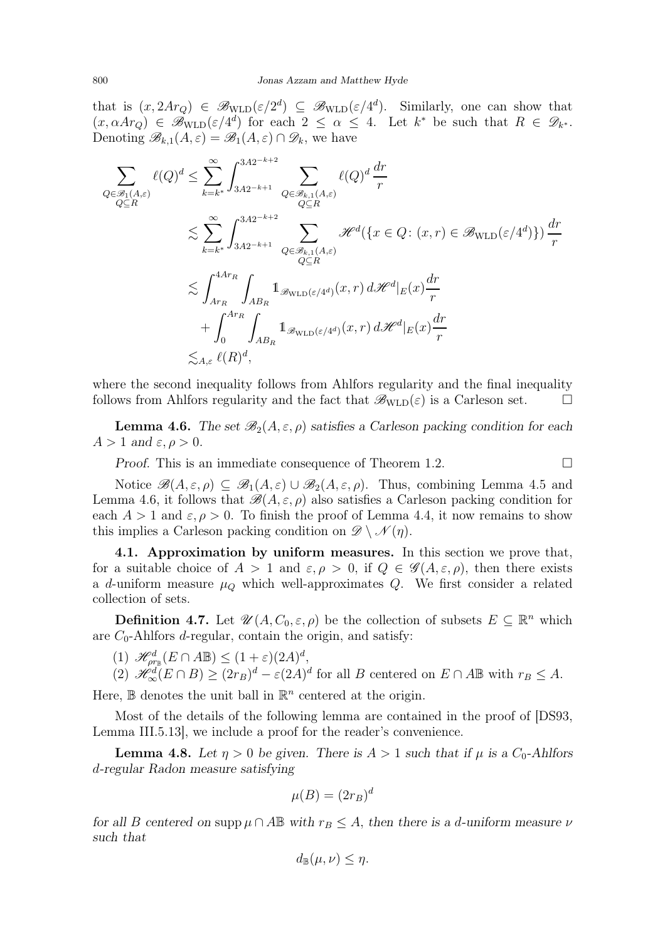that is  $(x, 2Ar_Q) \in \mathscr{B}_{\text{WLD}}(\varepsilon/2^d) \subseteq \mathscr{B}_{\text{WLD}}(\varepsilon/4^d)$ . Similarly, one can show that  $(x, \alpha A r_Q) \in \mathscr{B}_{\text{WLD}}(\varepsilon/4^d)$  for each  $2 \leq \alpha \leq 4$ . Let  $k^*$  be such that  $R \in \mathscr{D}_{k^*}$ . Denoting  $\mathscr{B}_{k,1}(A,\varepsilon)=\mathscr{B}_1(A,\varepsilon)\cap\mathscr{D}_k$ , we have

$$
\sum_{Q \in \mathcal{B}_1(A,\varepsilon)} \ell(Q)^d \leq \sum_{k=k^*}^{\infty} \int_{3A2^{-k+2}}^{3A2^{-k+2}} \sum_{Q \in \mathcal{B}_{k,1}(A,\varepsilon)} \ell(Q)^d \frac{dr}{r}
$$
\n
$$
\lesssim \sum_{k=k^*}^{\infty} \int_{3A2^{-k+2}}^{3A2^{-k+2}} \sum_{Q \in \mathcal{B}_{k,1}(A,\varepsilon)} \mathcal{H}^d(\{x \in Q : (x,r) \in \mathcal{B}_{\text{WLD}}(\varepsilon/4^d)\}) \frac{dr}{r}
$$
\n
$$
\lesssim \int_{Ar_R}^{4Ar_R} \int_{AB_R} 1_{\mathcal{B}_{\text{WLD}}(\varepsilon/4^d)}(x,r) d\mathcal{H}^d|_E(x) \frac{dr}{r}
$$
\n
$$
+ \int_0^{Ar_R} \int_{AB_R} 1_{\mathcal{B}_{\text{WLD}}(\varepsilon/4^d)}(x,r) d\mathcal{H}^d|_E(x) \frac{dr}{r}
$$
\n
$$
\lesssim_{A,\varepsilon} \ell(R)^d,
$$

where the second inequality follows from Ahlfors regularity and the final inequality follows from Ahlfors regularity and the fact that  $\mathscr{B}_{\text{WLD}}(\varepsilon)$  is a Carleson set.  $\Box$ 

<span id="page-9-0"></span>**Lemma 4.6.** The set  $\mathscr{B}_2(A, \varepsilon, \rho)$  satisfies a Carleson packing condition for each  $A > 1$  and  $\varepsilon, \rho > 0$ .

Proof. This is an immediate consequence of Theorem [1.2.](#page-4-1) □

Notice  $\mathscr{B}(A,\varepsilon,\rho) \subseteq \mathscr{B}_1(A,\varepsilon) \cup \mathscr{B}_2(A,\varepsilon,\rho)$ . Thus, combining Lemma [4.5](#page-8-3) and Lemma [4.6,](#page-9-0) it follows that  $\mathscr{B}(A,\varepsilon,\rho)$  also satisfies a Carleson packing condition for each  $A > 1$  and  $\varepsilon, \rho > 0$ . To finish the proof of Lemma [4.4,](#page-8-1) it now remains to show this implies a Carleson packing condition on  $\mathscr{D}\setminus\mathscr{N}(\eta)$ .

4.1. Approximation by uniform measures. In this section we prove that, for a suitable choice of  $A > 1$  and  $\varepsilon, \rho > 0$ , if  $Q \in \mathscr{G}(A, \varepsilon, \rho)$ , then there exists a d-uniform measure  $\mu_Q$  which well-approximates Q. We first consider a related collection of sets.

**Definition 4.7.** Let  $\mathscr{U}(A, C_0, \varepsilon, \rho)$  be the collection of subsets  $E \subseteq \mathbb{R}^n$  which are  $C_0$ -Ahlfors *d*-regular, contain the origin, and satisfy:

(1)  $\mathscr{H}_{\rho r_{\mathbb{B}}}(E \cap A\mathbb{B}) \leq (1+\varepsilon)(2A)^{d},$ 

(2) 
$$
\mathscr{H}_{\infty}^{\tilde{d}}(E \cap B) \geq (2r_B)^d - \varepsilon (2A)^d
$$
 for all B centered on  $E \cap A\mathbb{B}$  with  $r_B \leq A$ .

Here,  $\mathbb B$  denotes the unit ball in  $\mathbb R^n$  centered at the origin.

Most of the details of the following lemma are contained in the proof of [\[DS93,](#page-27-7) Lemma III.5.13], we include a proof for the reader's convenience.

**Lemma 4.8.** Let  $\eta > 0$  be given. There is  $A > 1$  such that if  $\mu$  is a  $C_0$ -Ahlfors d-regular Radon measure satisfying

$$
\mu(B) = (2r_B)^d
$$

for all B centered on supp  $\mu \cap A \mathbb{B}$  with  $r_B \leq A$ , then there is a d-uniform measure  $\nu$ such that

$$
d_{\mathbb{B}}(\mu,\nu)\leq \eta.
$$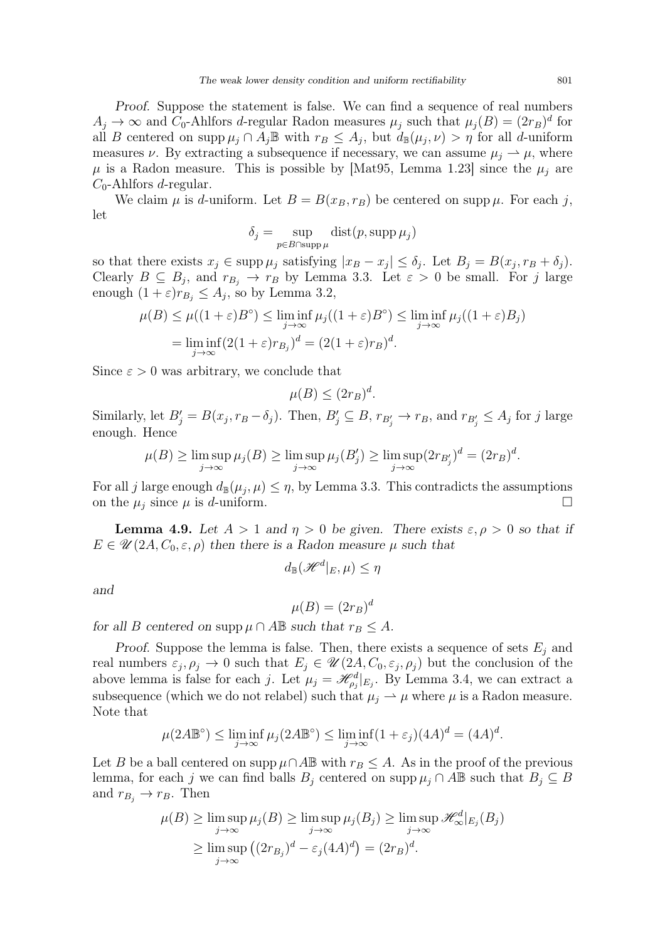Proof. Suppose the statement is false. We can find a sequence of real numbers  $A_j \to \infty$  and  $C_0$ -Ahlfors d-regular Radon measures  $\mu_j$  such that  $\mu_j(B) = (2r_B)^d$  for all B centered on supp  $\mu_j \cap A_j \mathbb{B}$  with  $r_B \leq A_j$ , but  $d_{\mathbb{B}}(\mu_j, \nu) > \eta$  for all d-uniform measures  $\nu$ . By extracting a subsequence if necessary, we can assume  $\mu_i \rightharpoonup \mu$ , where  $\mu$  is a Radon measure. This is possible by [\[Mat95,](#page-27-15) Lemma 1.23] since the  $\mu_i$  are  $C_0$ -Ahlfors *d*-regular.

We claim  $\mu$  is d-uniform. Let  $B = B(x_B, r_B)$  be centered on supp  $\mu$ . For each j, let

$$
\delta_j = \sup_{p \in B \cap \operatorname{supp} \mu} \operatorname{dist}(p, \operatorname{supp} \mu_j)
$$

so that there exists  $x_j \in \text{supp }\mu_j$  satisfying  $|x_B - x_j| \leq \delta_j$ . Let  $B_j = B(x_j, r_B + \delta_j)$ . Clearly  $B \subseteq B_j$ , and  $r_{B_j} \to r_B$  by Lemma [3.3.](#page-6-0) Let  $\varepsilon > 0$  be small. For j large enough  $(1+\varepsilon)r_{B_j} \leq A_j$ , so by Lemma [3.2,](#page-6-1)

$$
\mu(B) \le \mu((1+\varepsilon)B^{\circ}) \le \liminf_{j \to \infty} \mu_j((1+\varepsilon)B^{\circ}) \le \liminf_{j \to \infty} \mu_j((1+\varepsilon)B_j)
$$
  
= 
$$
\liminf_{j \to \infty} (2(1+\varepsilon)r_{B_j})^d = (2(1+\varepsilon)r_B)^d.
$$

Since  $\varepsilon > 0$  was arbitrary, we conclude that

$$
\mu(B) \le (2r_B)^d.
$$

Similarly, let  $B'_j = B(x_j, r_B - \delta_j)$ . Then,  $B'_j \subseteq B$ ,  $r_{B'_j} \to r_B$ , and  $r_{B'_j} \leq A_j$  for j large enough. Hence

$$
\mu(B) \ge \limsup_{j \to \infty} \mu_j(B) \ge \limsup_{j \to \infty} \mu_j(B'_j) \ge \limsup_{j \to \infty} (2r_{B'_j})^d = (2r_B)^d.
$$

For all j large enough  $d_{\mathbb{B}}(\mu_j, \mu) \leq \eta$ , by Lemma [3.3.](#page-6-0) This contradicts the assumptions on the  $\mu_j$  since  $\mu$  is d-uniform.

**Lemma 4.9.** Let  $A > 1$  and  $\eta > 0$  be given. There exists  $\varepsilon, \rho > 0$  so that if  $E \in \mathscr{U}(2A, C_0, \varepsilon, \rho)$  then there is a Radon measure  $\mu$  such that

$$
d_{\mathbb{B}}(\mathscr{H}^d|_E,\mu)\leq \eta
$$

and

$$
\mu(B) = (2r_B)^d
$$

for all B centered on supp  $\mu \cap A \mathbb{B}$  such that  $r_B \leq A$ .

Proof. Suppose the lemma is false. Then, there exists a sequence of sets  $E_j$  and real numbers  $\varepsilon_j$ ,  $\rho_j \to 0$  such that  $E_j \in \mathscr{U}(2A, C_0, \varepsilon_j, \rho_j)$  but the conclusion of the above lemma is false for each j. Let  $\mu_j = \mathcal{H}_{\rho_j}^d|_{E_j}$ . By Lemma [3.4,](#page-6-2) we can extract a subsequence (which we do not relabel) such that  $\mu_i \rightharpoonup \mu$  where  $\mu$  is a Radon measure. Note that

$$
\mu(2A\mathbb{B}^{\circ}) \le \liminf_{j \to \infty} \mu_j(2A\mathbb{B}^{\circ}) \le \liminf_{j \to \infty} (1 + \varepsilon_j)(4A)^d = (4A)^d.
$$

Let B be a ball centered on supp  $\mu \cap A \mathbb{B}$  with  $r_B \leq A$ . As in the proof of the previous lemma, for each j we can find balls  $B_j$  centered on supp  $\mu_j \cap A \mathbb{B}$  such that  $B_j \subseteq B$ and  $r_{B_i} \rightarrow r_B$ . Then

$$
\mu(B) \ge \limsup_{j \to \infty} \mu_j(B) \ge \limsup_{j \to \infty} \mu_j(B_j) \ge \limsup_{j \to \infty} \mathcal{H}_{\infty}^d|_{E_j}(B_j)
$$
  

$$
\ge \limsup_{j \to \infty} ((2r_{B_j})^d - \varepsilon_j (4A)^d) = (2r_B)^d.
$$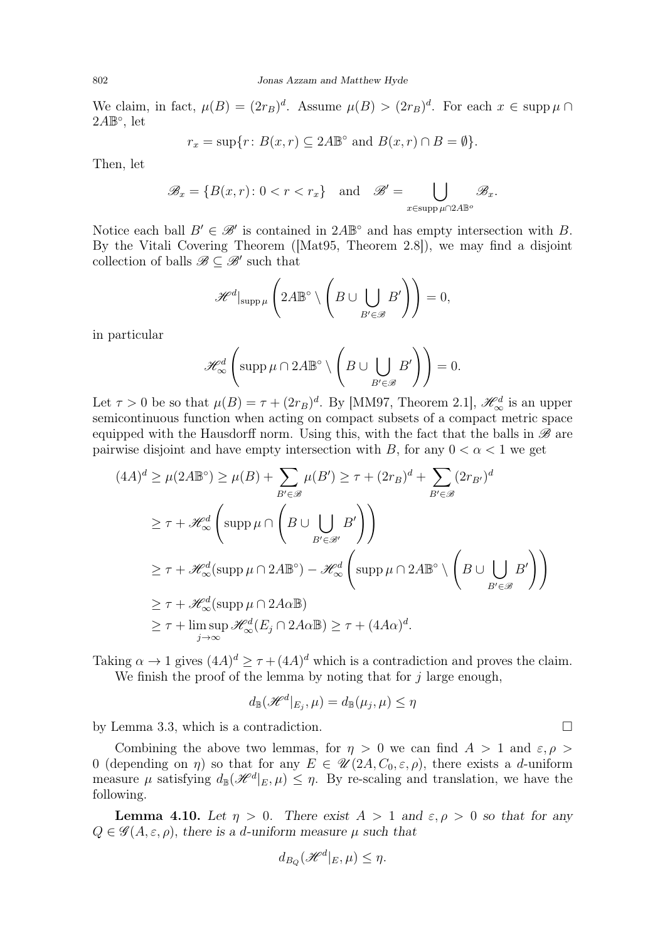We claim, in fact,  $\mu(B) = (2r_B)^d$ . Assume  $\mu(B) > (2r_B)^d$ . For each  $x \in \text{supp }\mu \cap$  $2A\mathbb{B}^\circ$ , let

$$
r_x = \sup\{r : B(x,r) \subseteq 2A\mathbb{B}^\circ \text{ and } B(x,r) \cap B = \emptyset\}.
$$

Then, let

$$
\mathscr{B}_x = \{ B(x, r) \colon 0 < r < r_x \} \quad \text{and} \quad \mathscr{B}' = \bigcup_{x \in \text{supp } \mu \cap 2A \mathbb{B}^o} \mathscr{B}_x.
$$

Notice each ball  $B' \in \mathcal{B}'$  is contained in  $2A\mathbb{B}^{\circ}$  and has empty intersection with B. By the Vitali Covering Theorem ([\[Mat95,](#page-27-15) Theorem 2.8]), we may find a disjoint collection of balls  $\mathscr{B} \subseteq \mathscr{B}'$  such that

$$
\mathscr{H}^d|_{\text{supp}\,\mu}\left(2A\mathbb{B}^\circ\setminus\left(B\cup\bigcup_{B'\in\mathscr{B}}B'\right)\right)=0,
$$

in particular

$$
\mathscr{H}^d_{\infty}\left(\operatorname{supp}\mu\cap 2A\mathbb{B}^\circ\setminus\left(B\cup\bigcup_{B'\in\mathscr{B}}B'\right)\right)=0.
$$

Let  $\tau > 0$  be so that  $\mu(B) = \tau + (2r_B)^d$ . By [\[MM97,](#page-28-7) Theorem 2.1],  $\mathscr{H}^d_{\infty}$  is an upper semicontinuous function when acting on compact subsets of a compact metric space equipped with the Hausdorff norm. Using this, with the fact that the balls in  $\mathscr B$  are pairwise disjoint and have empty intersection with B, for any  $0 < \alpha < 1$  we get

$$
(4A)^d \ge \mu(2A\mathbb{B}^\circ) \ge \mu(B) + \sum_{B' \in \mathcal{B}} \mu(B') \ge \tau + (2r_B)^d + \sum_{B' \in \mathcal{B}} (2r_{B'})^d
$$
  

$$
\ge \tau + \mathcal{H}_{\infty}^d \left( \operatorname{supp} \mu \cap \left( B \cup \bigcup_{B' \in \mathcal{B}'} B' \right) \right)
$$
  

$$
\ge \tau + \mathcal{H}_{\infty}^d (\operatorname{supp} \mu \cap 2A\mathbb{B}^\circ) - \mathcal{H}_{\infty}^d \left( \operatorname{supp} \mu \cap 2A\mathbb{B}^\circ \setminus \left( B \cup \bigcup_{B' \in \mathcal{B}} B' \right) \right)
$$
  

$$
\ge \tau + \mathcal{H}_{\infty}^d (\operatorname{supp} \mu \cap 2A\alpha \mathbb{B})
$$
  

$$
\ge \tau + \limsup_{j \to \infty} \mathcal{H}_{\infty}^d (E_j \cap 2A\alpha \mathbb{B}) \ge \tau + (4A\alpha)^d.
$$

Taking  $\alpha \to 1$  gives  $(4A)^d \ge \tau + (4A)^d$  which is a contradiction and proves the claim. We finish the proof of the lemma by noting that for  $j$  large enough,

$$
d_{\mathbb{B}}(\mathscr{H}^d|_{E_j}, \mu) = d_{\mathbb{B}}(\mu_j, \mu) \le \eta
$$

by Lemma [3.3,](#page-6-0) which is a contradiction.  $\Box$ 

Combining the above two lemmas, for  $\eta > 0$  we can find  $A > 1$  and  $\varepsilon, \rho > 1$ 0 (depending on  $\eta$ ) so that for any  $E \in \mathscr{U}(2A, C_0, \varepsilon, \rho)$ , there exists a d-uniform measure  $\mu$  satisfying  $d_{\mathbb{B}}(\mathcal{H}^d|_E,\mu) \leq \eta$ . By re-scaling and translation, we have the following.

<span id="page-11-0"></span>**Lemma 4.10.** Let  $\eta > 0$ . There exist  $A > 1$  and  $\varepsilon, \rho > 0$  so that for any  $Q \in \mathscr{G}(A,\varepsilon,\rho)$ , there is a d-uniform measure  $\mu$  such that

$$
d_{B_Q}(\mathcal{H}^d|_E, \mu) \le \eta.
$$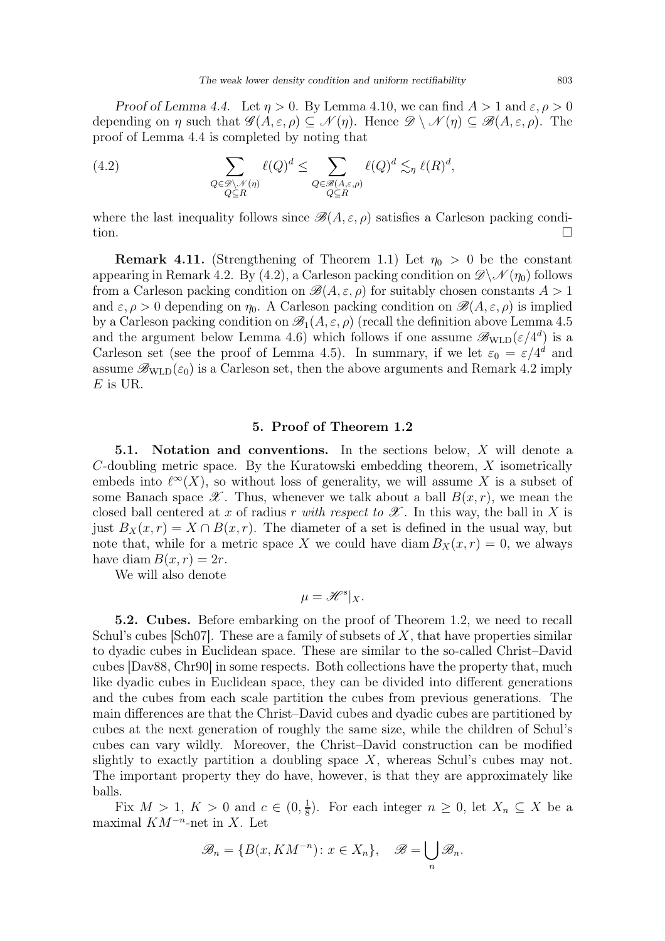Proof of Lemma [4.4.](#page-8-1) Let  $\eta > 0$ . By Lemma [4.10,](#page-11-0) we can find  $A > 1$  and  $\varepsilon, \rho > 0$ depending on  $\eta$  such that  $\mathscr{G}(A,\varepsilon,\rho)\subseteq\mathscr{N}(\eta)$ . Hence  $\mathscr{D}\setminus\mathscr{N}(\eta)\subseteq\mathscr{B}(A,\varepsilon,\rho)$ . The proof of Lemma [4.4](#page-8-1) is completed by noting that

<span id="page-12-1"></span>(4.2) 
$$
\sum_{\substack{Q \in \mathcal{D} \setminus \mathcal{N}(\eta) \\ Q \subseteq R}} \ell(Q)^d \le \sum_{\substack{Q \in \mathcal{B}(A,\varepsilon,\rho) \\ Q \subseteq R}} \ell(Q)^d \lesssim_{\eta} \ell(R)^d,
$$

where the last inequality follows since  $\mathscr{B}(A,\varepsilon,\rho)$  satisfies a Carleson packing condition.  $\Box$ 

<span id="page-12-0"></span>**Remark 4.11.** (Strengthening of Theorem [1.1\)](#page-2-0) Let  $\eta_0 > 0$  be the constant appearing in Remark [4.2.](#page-8-0) By [\(4.2\)](#page-12-1), a Carleson packing condition on  $\mathscr{D}\setminus\mathscr{N}(\eta_0)$  follows from a Carleson packing condition on  $\mathscr{B}(A, \varepsilon, \rho)$  for suitably chosen constants  $A > 1$ and  $\varepsilon, \rho > 0$  depending on  $\eta_0$ . A Carleson packing condition on  $\mathscr{B}(A, \varepsilon, \rho)$  is implied by a Carleson packing condition on  $\mathscr{B}_1(A,\varepsilon,\rho)$  (recall the definition above Lemma [4.5](#page-8-3) and the argument below Lemma [4.6\)](#page-9-0) which follows if one assume  $\mathscr{B}_{\text{WLD}}(\varepsilon/4^d)$  is a Carleson set (see the proof of Lemma [4.5\)](#page-8-3). In summary, if we let  $\varepsilon_0 = \varepsilon/4^d$  and assume  $\mathscr{B}_{\text{WLD}}(\varepsilon_0)$  is a Carleson set, then the above arguments and Remark [4.2](#page-8-0) imply  $E$  is UR.

#### 5. Proof of Theorem [1.2](#page-4-1)

5.1. Notation and conventions. In the sections below, X will denote a C-doubling metric space. By the Kuratowski embedding theorem, X isometrically embeds into  $\ell^{\infty}(X)$ , so without loss of generality, we will assume X is a subset of some Banach space  $\mathscr X$ . Thus, whenever we talk about a ball  $B(x,r)$ , we mean the closed ball centered at x of radius r with respect to  $\mathscr X$ . In this way, the ball in X is just  $B_X(x,r) = X \cap B(x,r)$ . The diameter of a set is defined in the usual way, but note that, while for a metric space X we could have diam  $B_X(x, r) = 0$ , we always have diam  $B(x, r) = 2r$ .

We will also denote

$$
\mu = \mathscr{H}^s|_X.
$$

5.2. Cubes. Before embarking on the proof of Theorem [1.2,](#page-4-1) we need to recall Schul's cubes  $\lbrack \text{Sch}07 \rbrack$ . These are a family of subsets of X, that have properties similar to dyadic cubes in Euclidean space. These are similar to the so-called Christ–David cubes [\[Dav88,](#page-27-16) [Chr90\]](#page-27-17) in some respects. Both collections have the property that, much like dyadic cubes in Euclidean space, they can be divided into different generations and the cubes from each scale partition the cubes from previous generations. The main differences are that the Christ–David cubes and dyadic cubes are partitioned by cubes at the next generation of roughly the same size, while the children of Schul's cubes can vary wildly. Moreover, the Christ–David construction can be modified slightly to exactly partition a doubling space  $X$ , whereas Schul's cubes may not. The important property they do have, however, is that they are approximately like balls.

Fix  $M > 1, K > 0$  and  $c \in (0, \frac{1}{8})$  $\frac{1}{8}$ ). For each integer  $n \geq 0$ , let  $X_n \subseteq X$  be a maximal  $KM^{-n}$ -net in X. Let

$$
\mathscr{B}_n = \{ B(x, KM^{-n}) : x \in X_n \}, \quad \mathscr{B} = \bigcup_n \mathscr{B}_n.
$$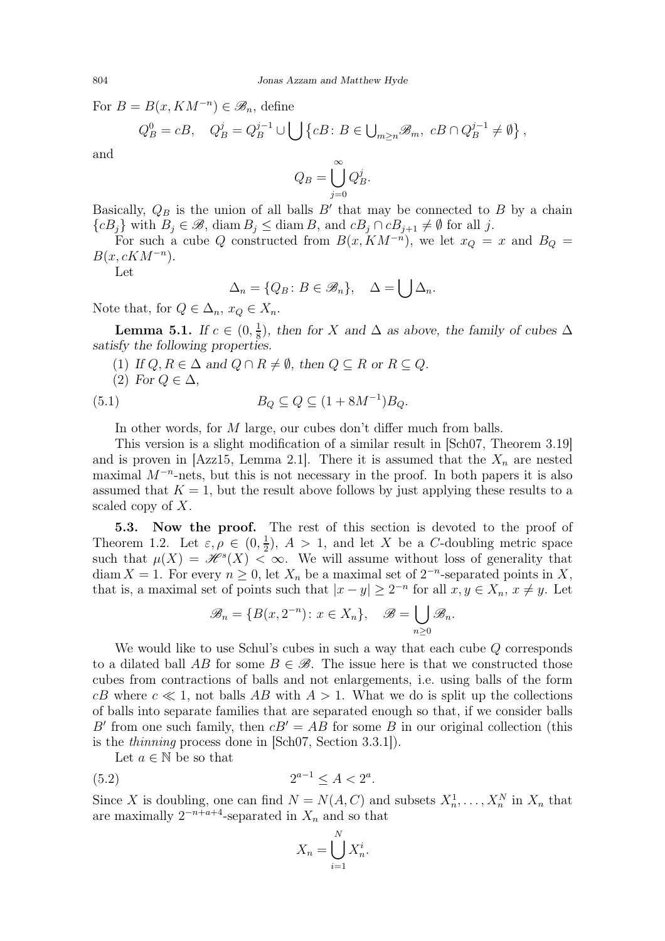For  $B = B(x, KM^{-n}) \in \mathcal{B}_n$ , define

$$
Q_B^0 = cB, \quad Q_B^j = Q_B^{j-1} \cup \bigcup \{cB \colon B \in \bigcup_{m \ge n} \mathscr{B}_m, \ cB \cap Q_B^{j-1} \neq \emptyset \},
$$

and

$$
Q_B = \bigcup_{j=0}^{\infty} Q_B^j.
$$

Basically,  $Q_B$  is the union of all balls  $B'$  that may be connected to  $B$  by a chain  ${cB<sub>j</sub>}$  with  $B<sub>j</sub> \in \mathscr{B}$ , diam  $B<sub>j</sub> \leq$  diam B, and  $cB<sub>j</sub> \cap cB<sub>j+1</sub> \neq \emptyset$  for all j.

For such a cube Q constructed from  $B(x, KM^{-n})$ , we let  $x_Q = x$  and  $B_Q = x$  $B(x, cKM^{-n}).$ 

Let

<span id="page-13-0"></span>
$$
\Delta_n = \{Q_B \colon B \in \mathcal{B}_n\}, \quad \Delta = \bigcup \Delta_n.
$$

Note that, for  $Q \in \Delta_n$ ,  $x_Q \in X_n$ .

**Lemma 5.1.** If  $c \in (0, \frac{1}{8})$  $\frac{1}{8}$ ), then for X and  $\Delta$  as above, the family of cubes  $\Delta$ satisfy the following properties.

- (1) If  $Q, R \in \Delta$  and  $Q \cap R \neq \emptyset$ , then  $Q \subseteq R$  or  $R \subseteq Q$ .
- (2) For  $Q \in \Delta$ ,

$$
(5.1) \t B_Q \subseteq Q \subseteq (1 + 8M^{-1})B_Q.
$$

In other words, for M large, our cubes don't differ much from balls.

This version is a slight modification of a similar result in [\[Sch07,](#page-28-6) Theorem 3.19] and is proven in [\[Azz15,](#page-27-18) Lemma 2.1]. There it is assumed that the  $X_n$  are nested maximal  $M^{-n}$ -nets, but this is not necessary in the proof. In both papers it is also assumed that  $K = 1$ , but the result above follows by just applying these results to a scaled copy of  $X$ .

5.3. Now the proof. The rest of this section is devoted to the proof of Theorem [1.2.](#page-4-1) Let  $\varepsilon, \rho \in (0, \frac{1}{2})$  $(\frac{1}{2})$ ,  $A > 1$ , and let X be a C-doubling metric space such that  $\mu(X) = \mathcal{H}^{s}(X) < \infty$ . We will assume without loss of generality that diam  $X = 1$ . For every  $n \geq 0$ , let  $X_n$  be a maximal set of  $2^{-n}$ -separated points in X, that is, a maximal set of points such that  $|x - y| \geq 2^{-n}$  for all  $x, y \in X_n$ ,  $x \neq y$ . Let

$$
\mathscr{B}_n = \{ B(x, 2^{-n}) : x \in X_n \}, \quad \mathscr{B} = \bigcup_{n \ge 0} \mathscr{B}_n.
$$

We would like to use Schul's cubes in such a way that each cube Q corresponds to a dilated ball AB for some  $B \in \mathcal{B}$ . The issue here is that we constructed those cubes from contractions of balls and not enlargements, i.e. using balls of the form cB where  $c \ll 1$ , not balls AB with  $A > 1$ . What we do is split up the collections of balls into separate families that are separated enough so that, if we consider balls B' from one such family, then  $cB' = AB$  for some B in our original collection (this is the thinning process done in [\[Sch07,](#page-28-6) Section 3.3.1]).

Let  $a \in \mathbb{N}$  be so that

(5.2) 
$$
2^{a-1} \le A < 2^a.
$$

Since X is doubling, one can find  $N = N(A, C)$  and subsets  $X_n^1, \ldots, X_n^N$  in  $X_n$  that are maximally  $2^{-n+a+4}$ -separated in  $X_n$  and so that

<span id="page-13-1"></span>
$$
X_n = \bigcup_{i=1}^N X_n^i.
$$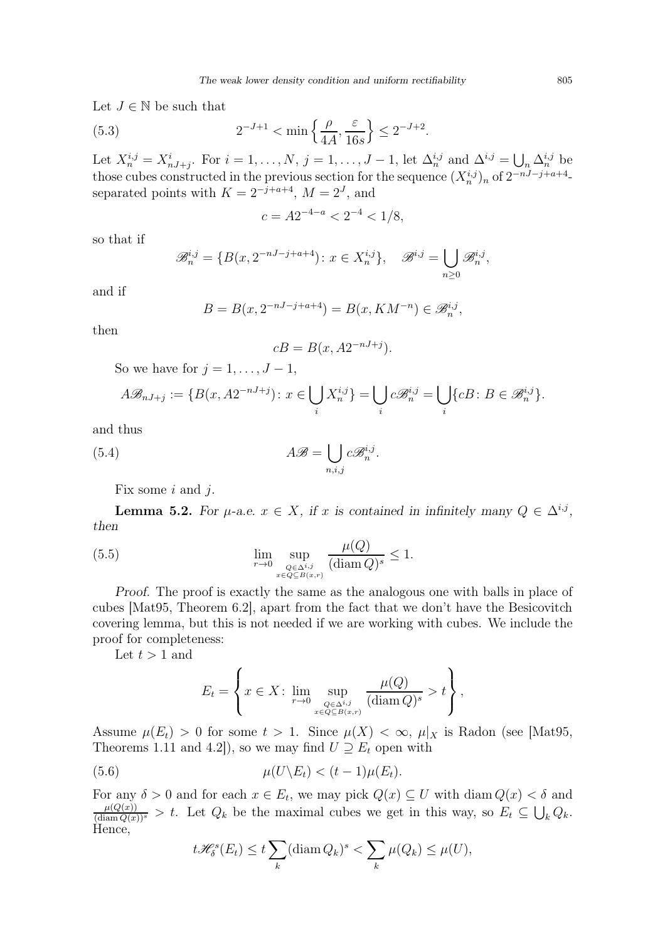Let  $J \in \mathbb{N}$  be such that

(5.3) 
$$
2^{-J+1} < \min\left\{\frac{\rho}{4A}, \frac{\varepsilon}{16s}\right\} \le 2^{-J+2}.
$$

Let  $X_n^{i,j} = X_{nJ+j}^i$ . For  $i = 1, ..., N$ ,  $j = 1, ..., J-1$ , let  $\Delta_n^{i,j}$  and  $\Delta^{i,j} = \bigcup_n \Delta_n^{i,j}$  be those cubes constructed in the previous section for the sequence  $(X_n^{i,j})_n$  of  $2^{-nJ-j+a+4}$ . separated points with  $K = 2^{-j+a+4}$ ,  $M = 2^J$ , and

<span id="page-14-2"></span>
$$
c = A2^{-4-a} < 2^{-4} < 1/8,
$$

so that if

$$
\mathscr{B}_n^{i,j} = \{ B(x, 2^{-nJ-j+a+4}) : x \in X_n^{i,j} \}, \quad \mathscr{B}^{i,j} = \bigcup_{n \ge 0} \mathscr{B}_n^{i,j},
$$

and if

$$
B = B(x, 2^{-n}J^{-j+a+4}) = B(x, KM^{-n}) \in \mathcal{B}_n^{i,j},
$$

then

$$
cB = B(x, A2^{-nJ+j}).
$$

So we have for  $j = 1, \ldots, J - 1$ ,

$$
A\mathcal{B}_{nJ+j} := \{B(x, A2^{-nJ+j})\colon x \in \bigcup_i X_n^{i,j}\} = \bigcup_i c\mathcal{B}_n^{i,j} = \bigcup_i \{cB\colon B \in \mathcal{B}_n^{i,j}\}.
$$

and thus

<span id="page-14-3"></span>(5.4) 
$$
A\mathscr{B} = \bigcup_{n,i,j} c\mathscr{B}_n^{i,j}.
$$

Fix some  $i$  and  $j$ .

**Lemma 5.2.** For  $\mu$ -a.e.  $x \in X$ , if x is contained in infinitely many  $Q \in \Delta^{i,j}$ , then

(5.5) 
$$
\lim_{r \to 0} \sup_{\substack{Q \in \Delta^{i,j} \\ x \in Q \subseteq B(x,r)}} \frac{\mu(Q)}{(\text{diam } Q)^s} \le 1.
$$

Proof. The proof is exactly the same as the analogous one with balls in place of cubes [\[Mat95,](#page-27-15) Theorem 6.2], apart from the fact that we don't have the Besicovitch covering lemma, but this is not needed if we are working with cubes. We include the proof for completeness:

Let  $t > 1$  and

<span id="page-14-1"></span>
$$
E_t = \left\{ x \in X : \lim_{r \to 0} \sup_{\substack{Q \in \Delta^{i,j} \\ x \in Q \subseteq B(x,r)}} \frac{\mu(Q)}{(\operatorname{diam} Q)^s} > t \right\},\,
$$

Assume  $\mu(E_t) > 0$  for some  $t > 1$ . Since  $\mu(X) < \infty$ ,  $\mu|_X$  is Radon (see [\[Mat95,](#page-27-15) Theorems 1.11 and 4.2]), so we may find  $U \supseteq E_t$  open with

(5.6) 
$$
\mu(U \backslash E_t) < (t-1)\mu(E_t).
$$

For any  $\delta > 0$  and for each  $x \in E_t$ , we may pick  $Q(x) \subseteq U$  with diam  $Q(x) < \delta$  and  $\frac{\mu(Q(x))}{(\text{diam } Q(x))^s} > t$ . Let  $Q_k$  be the maximal cubes we get in this way, so  $E_t \subseteq \bigcup_k Q_k$ . Hence,

<span id="page-14-0"></span>
$$
t\mathscr{H}_{\delta}^{s}(E_{t}) \leq t \sum_{k} (\text{diam } Q_{k})^{s} < \sum_{k} \mu(Q_{k}) \leq \mu(U),
$$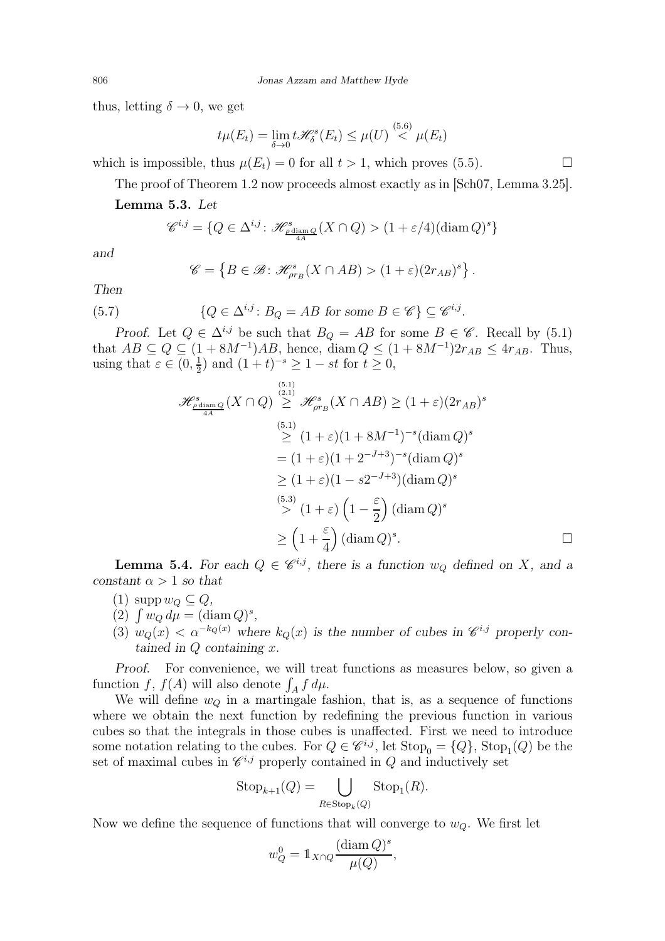thus, letting  $\delta \to 0$ , we get

$$
t\mu(E_t) = \lim_{\delta \to 0} t\mathscr{H}_{\delta}^s(E_t) \leq \mu(U) \stackrel{(5.6)}{<} \mu(E_t)
$$

which is impossible, thus  $\mu(E_t) = 0$  for all  $t > 1$ , which proves [\(5.5\)](#page-14-1).

The proof of Theorem [1.2](#page-4-1) now proceeds almost exactly as in [\[Sch07,](#page-28-6) Lemma 3.25].

<span id="page-15-0"></span>Lemma 5.3. Let

$$
\mathscr{C}^{i,j} = \{ Q \in \Delta^{i,j} \colon \mathscr{H}^s_{\frac{\rho \text{diam } Q}{4A}} (X \cap Q) > (1 + \varepsilon/4) (\text{diam } Q)^s \}
$$

and

$$
\mathscr{C} = \left\{ B \in \mathscr{B} : \mathscr{H}_{\rho r_B}^s(X \cap AB) > (1+\varepsilon)(2r_{AB})^s \right\}.
$$

Then

(5.7) 
$$
\{Q \in \Delta^{i,j} \colon B_Q = AB \text{ for some } B \in \mathscr{C}\} \subseteq \mathscr{C}^{i,j}.
$$

Proof. Let  $Q \in \Delta^{i,j}$  be such that  $B_Q = AB$  for some  $B \in \mathscr{C}$ . Recall by [\(5.1\)](#page-13-0) that  $AB \subseteq Q \subseteq (1 + 8M^{-1})AB$ , hence, diam  $Q \leq (1 + 8M^{-1})2r_{AB} \leq 4r_{AB}$ . Thus, using that  $\varepsilon \in (0, \frac{1}{2})$  $(\frac{1}{2})$  and  $(1+t)^{-s} \ge 1 - st$  for  $t \ge 0$ ,

$$
\mathcal{H}^{s}_{\frac{\rho \text{diam }Q}{4A}}(X \cap Q) \overset{\text{(5.1)}}{\geq} \mathcal{H}^{s}_{\rho r_B}(X \cap AB) \geq (1+\varepsilon)(2r_{AB})^s
$$
\n
$$
\overset{\text{(5.1)}}{\geq} (1+\varepsilon)(1+8M^{-1})^{-s}(\text{diam }Q)^s
$$
\n
$$
= (1+\varepsilon)(1+2^{-J+3})^{-s}(\text{diam }Q)^s
$$
\n
$$
\geq (1+\varepsilon)(1-s2^{-J+3})(\text{diam }Q)^s
$$
\n
$$
\overset{\text{(5.3)}}{\geq} (1+\varepsilon)\left(1-\frac{\varepsilon}{2}\right)(\text{diam }Q)^s
$$
\n
$$
\geq \left(1+\frac{\varepsilon}{4}\right)(\text{diam }Q)^s.
$$

**Lemma 5.4.** For each  $Q \in \mathcal{C}^{i,j}$ , there is a function  $w_Q$  defined on X, and a constant  $\alpha > 1$  so that

- (1) supp  $w_Q \subseteq Q$ ,
- (2)  $\int w_Q d\mu = (\text{diam } Q)^s$ ,
- (3)  $w_Q(x) < \alpha^{-k_Q(x)}$  where  $k_Q(x)$  is the number of cubes in  $\mathscr{C}^{i,j}$  properly contained in  $Q$  containing  $x$ .

Proof. For convenience, we will treat functions as measures below, so given a function f,  $f(A)$  will also denote  $\int_A f d\mu$ .

We will define  $w_Q$  in a martingale fashion, that is, as a sequence of functions where we obtain the next function by redefining the previous function in various cubes so that the integrals in those cubes is unaffected. First we need to introduce some notation relating to the cubes. For  $Q \in \mathscr{C}^{i,j}$ , let  $\text{Stop}_0 = \{Q\}$ ,  $\text{Stop}_1(Q)$  be the set of maximal cubes in  $\mathscr{C}^{i,j}$  properly contained in Q and inductively set

$$
Stop_{k+1}(Q) = \bigcup_{R \in Stop_k(Q)} Stop_1(R).
$$

Now we define the sequence of functions that will converge to  $w_Q$ . We first let

$$
w_Q^0 = \mathbb{1}_{X \cap Q} \frac{(\text{diam } Q)^s}{\mu(Q)},
$$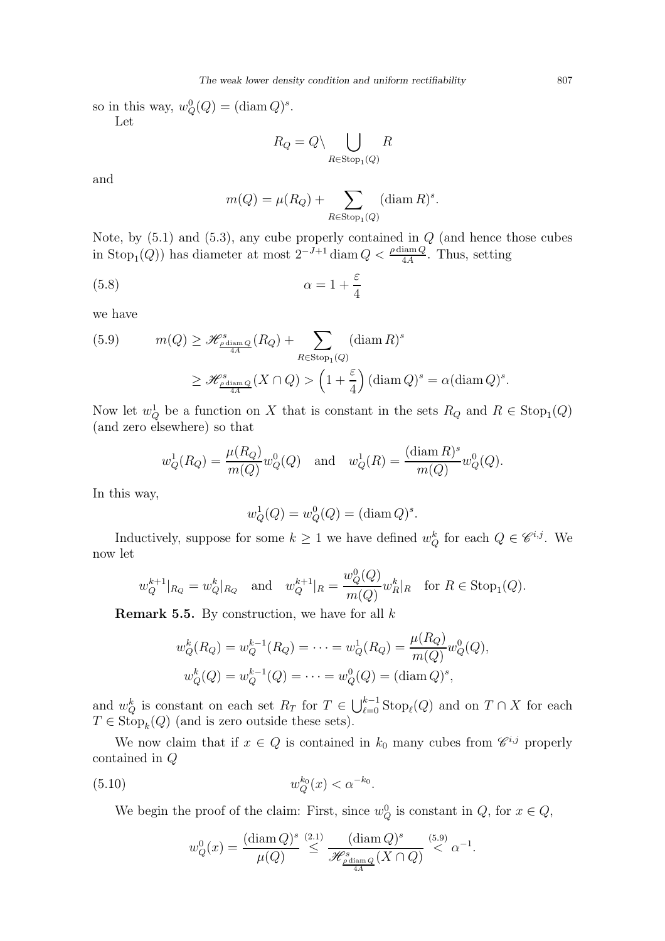so in this way,  $w_Q^0(Q) = (\text{diam } Q)^s$ . Let

$$
R_Q = Q \setminus \bigcup_{R \in \text{Stop}_1(Q)} R
$$

and

$$
m(Q) = \mu(R_Q) + \sum_{R \in \text{Stop}_1(Q)} (\text{diam } R)^s.
$$

Note, by  $(5.1)$  and  $(5.3)$ , any cube properly contained in  $Q$  (and hence those cubes in Stop<sub>1</sub>(*Q*)) has diameter at most  $2^{-J+1}$  diam  $Q < \frac{\rho \text{ diam } Q}{4A}$ . Thus, setting

$$
\alpha = 1 + \frac{\varepsilon}{4}
$$

we have

<span id="page-16-0"></span>(5.9) 
$$
m(Q) \geq \mathcal{H}_{\frac{\rho \text{diam }Q}{4A}}^s(R_Q) + \sum_{R \in \text{Stop}_1(Q)} (\text{diam }R)^s
$$

$$
\geq \mathcal{H}_{\frac{\rho \text{diam }Q}{4A}}^s(X \cap Q) > \left(1 + \frac{\varepsilon}{4}\right) (\text{diam }Q)^s = \alpha (\text{diam }Q)^s.
$$

Now let  $w_Q^1$  be a function on X that is constant in the sets  $R_Q$  and  $R \in \text{Stop}_1(Q)$ (and zero elsewhere) so that

$$
w_Q^1(R_Q) = \frac{\mu(R_Q)}{m(Q)} w_Q^0(Q)
$$
 and  $w_Q^1(R) = \frac{(\text{diam } R)^s}{m(Q)} w_Q^0(Q)$ .

In this way,

$$
w_Q^1(Q) = w_Q^0(Q) = (\text{diam } Q)^s.
$$

Inductively, suppose for some  $k \geq 1$  we have defined  $w_Q^k$  for each  $Q \in \mathscr{C}^{i,j}$ . We now let

$$
w_Q^{k+1}|_{R_Q} = w_Q^k|_{R_Q}
$$
 and  $w_Q^{k+1}|_R = \frac{w_Q^0(Q)}{m(Q)} w_R^k|_R$  for  $R \in \text{Stop}_1(Q)$ .

<span id="page-16-2"></span>**Remark 5.5.** By construction, we have for all  $k$ 

$$
w_Q^k(R_Q) = w_Q^{k-1}(R_Q) = \dots = w_Q^1(R_Q) = \frac{\mu(R_Q)}{m(Q)} w_Q^0(Q),
$$
  

$$
w_Q^k(Q) = w_Q^{k-1}(Q) = \dots = w_Q^0(Q) = (\text{diam } Q)^s,
$$

and  $w_Q^k$  is constant on each set  $R_T$  for  $T \in \bigcup_{\ell=0}^{k-1} \text{Stop}_\ell(Q)$  and on  $T \cap X$  for each  $T \in \text{Stop}_k(Q)$  (and is zero outside these sets).

We now claim that if  $x \in Q$  is contained in  $k_0$  many cubes from  $\mathscr{C}^{i,j}$  properly contained in Q

(5.10) 
$$
w_Q^{k_0}(x) < \alpha^{-k_0}.
$$

We begin the proof of the claim: First, since  $w_Q^0$  is constant in  $Q$ , for  $x \in Q$ ,

<span id="page-16-1"></span>
$$
w_Q^0(x) = \frac{(\text{diam }Q)^s}{\mu(Q)} \stackrel{(2.1)}{\leq} \frac{(\text{diam }Q)^s}{\mathscr{H}^s_{\frac{\rho \text{diam }Q}{4A}}(X \cap Q)} \stackrel{(5.9)}{\leq} \alpha^{-1}.
$$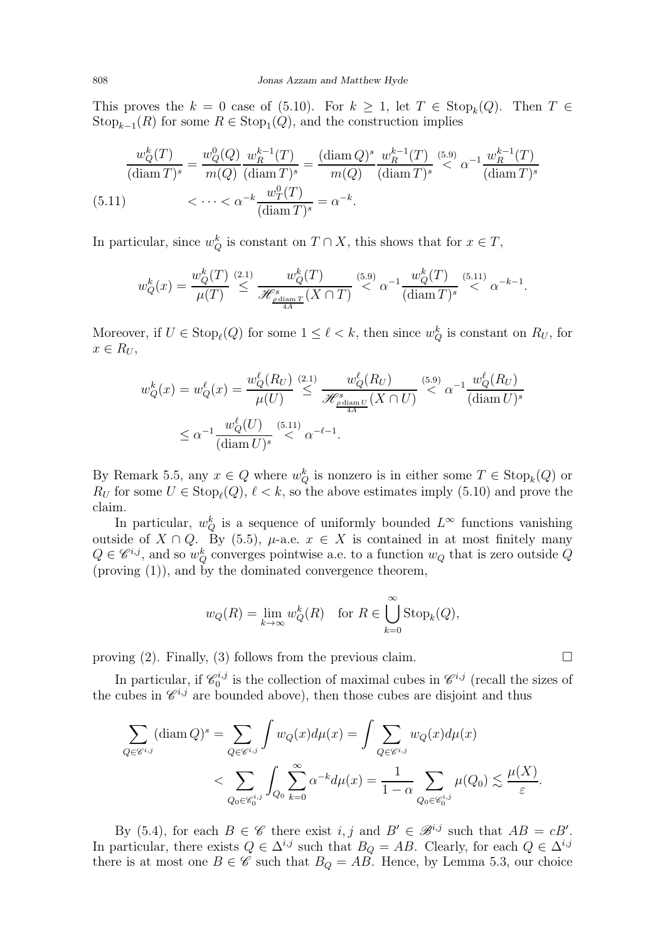This proves the  $k = 0$  case of [\(5.10\)](#page-16-1). For  $k \geq 1$ , let  $T \in \text{Stop}_k(Q)$ . Then  $T \in$  $\text{Stop}_{k-1}(R)$  for some  $R \in \text{Stop}_1(Q)$ , and the construction implies

<span id="page-17-0"></span>
$$
\frac{w_Q^k(T)}{(\text{diam }T)^s} = \frac{w_Q^0(Q)}{m(Q)} \frac{w_R^{k-1}(T)}{(\text{diam }T)^s} = \frac{(\text{diam }Q)^s}{m(Q)} \frac{w_R^{k-1}(T)}{(\text{diam }T)^s} \stackrel{(5.9)}{\leq} \alpha^{-1} \frac{w_R^{k-1}(T)}{(\text{diam }T)^s}
$$
\n
$$
\leq \dots < \alpha^{-k} \frac{w_T^0(T)}{(\text{diam }T)^s} = \alpha^{-k}.
$$

In particular, since  $w_Q^k$  is constant on  $T \cap X$ , this shows that for  $x \in T$ ,

$$
w_Q^k(x) = \frac{w_Q^k(T)}{\mu(T)} \stackrel{(2.1)}{\leq} \frac{w_Q^k(T)}{\mathscr{H}_{\frac{\rho \text{diam } T}{4A}}(X \cap T)} \stackrel{(5.9)}{<} \alpha^{-1} \frac{w_Q^k(T)}{(\text{diam } T)^s} \stackrel{(5.11)}{<} \alpha^{-k-1}.
$$

Moreover, if  $U \in \text{Stop}_\ell(Q)$  for some  $1 \leq \ell < k$ , then since  $w_Q^k$  is constant on  $R_U$ , for  $x \in R_U$ ,

$$
w_Q^k(x) = w_Q^{\ell}(x) = \frac{w_Q^{\ell}(R_U)}{\mu(U)} \stackrel{(2.1)}{\leq} \frac{w_Q^{\ell}(R_U)}{\mathscr{H}_{\frac{\rho \text{ diam } U}{4A}}^s(X \cap U)} \stackrel{(5.9)}{\leq} \alpha^{-1} \frac{w_Q^{\ell}(R_U)}{(\text{diam } U)^s}
$$

$$
\leq \alpha^{-1} \frac{w_Q^{\ell}(U)}{(\text{diam } U)^s} \stackrel{(5.11)}{\leq} \alpha^{-\ell-1}.
$$

By Remark [5.5,](#page-16-2) any  $x \in Q$  where  $w_Q^k$  is nonzero is in either some  $T \in \text{Stop}_k(Q)$  or  $R_U$  for some  $U \in \text{Stop}_\ell(Q)$ ,  $\ell < k$ , so the above estimates imply [\(5.10\)](#page-16-1) and prove the claim.

In particular,  $w_Q^k$  is a sequence of uniformly bounded  $L^{\infty}$  functions vanishing outside of  $X \cap Q$ . By [\(5.5\)](#page-14-1),  $\mu$ -a.e.  $x \in X$  is contained in at most finitely many  $Q \in \mathscr{C}^{i,j}$ , and so  $w_Q^k$  converges pointwise a.e. to a function  $w_Q$  that is zero outside  $Q$ (proving (1)), and by the dominated convergence theorem,

$$
w_Q(R) = \lim_{k \to \infty} w_Q^k(R)
$$
 for  $R \in \bigcup_{k=0}^{\infty} \text{Stop}_k(Q)$ ,

proving (2). Finally, (3) follows from the previous claim.  $\square$ 

In particular, if  $\mathscr{C}_0^{i,j}$  $\mathcal{C}^{i,j}$  is the collection of maximal cubes in  $\mathcal{C}^{i,j}$  (recall the sizes of the cubes in  $\mathscr{C}^{i,j}$  are bounded above), then those cubes are disjoint and thus

$$
\sum_{Q \in \mathscr{C}^{i,j}} (\text{diam } Q)^s = \sum_{Q \in \mathscr{C}^{i,j}} \int w_Q(x) d\mu(x) = \int \sum_{Q \in \mathscr{C}^{i,j}} w_Q(x) d\mu(x)
$$

$$
< \sum_{Q_0 \in \mathscr{C}_0^{i,j}} \int_{Q_0} \sum_{k=0}^{\infty} \alpha^{-k} d\mu(x) = \frac{1}{1-\alpha} \sum_{Q_0 \in \mathscr{C}_0^{i,j}} \mu(Q_0) \lesssim \frac{\mu(X)}{\varepsilon}.
$$

By [\(5.4\)](#page-14-3), for each  $B \in \mathscr{C}$  there exist  $i, j$  and  $B' \in \mathscr{B}^{i,j}$  such that  $AB = cB'$ . In particular, there exists  $Q \in \Delta^{i,j}$  such that  $B_Q = AB$ . Clearly, for each  $Q \in \Delta^{i,j}$ there is at most one  $B \in \mathscr{C}$  such that  $B_Q = AB$ . Hence, by Lemma [5.3,](#page-15-0) our choice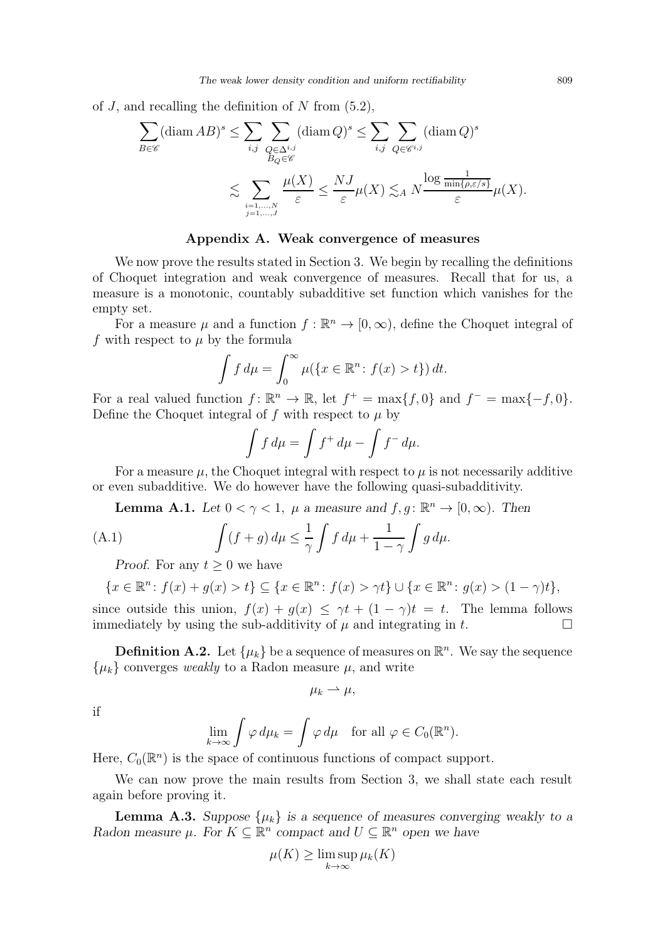of J, and recalling the definition of N from  $(5.2)$ ,

$$
\sum_{B \in \mathscr{C}} (\text{diam } AB)^s \le \sum_{i,j} \sum_{\substack{Q \in \Delta^{i,j} \\ B_Q \in \mathscr{C}}} (\text{diam } Q)^s \le \sum_{i,j} \sum_{\substack{Q \in \mathscr{C}^{i,j} \\ \varepsilon}} (\text{diam } Q)^s
$$

$$
\lesssim \sum_{\substack{i=1,\dots,N \\ j=1,\dots,J}} \frac{\mu(X)}{\varepsilon} \le \frac{NJ}{\varepsilon} \mu(X) \lesssim_A N \frac{\log \frac{1}{\min\{\rho, \varepsilon/s\}}}{\varepsilon} \mu(X).
$$

## Appendix A. Weak convergence of measures

We now prove the results stated in Section [3.](#page-6-3) We begin by recalling the definitions of Choquet integration and weak convergence of measures. Recall that for us, a measure is a monotonic, countably subadditive set function which vanishes for the empty set.

For a measure  $\mu$  and a function  $f : \mathbb{R}^n \to [0, \infty)$ , define the Choquet integral of f with respect to  $\mu$  by the formula

$$
\int f d\mu = \int_0^\infty \mu(\{x \in \mathbb{R}^n : f(x) > t\}) dt.
$$

For a real valued function  $f: \mathbb{R}^n \to \mathbb{R}$ , let  $f^+ = \max\{f, 0\}$  and  $f^- = \max\{-f, 0\}$ . Define the Choquet integral of f with respect to  $\mu$  by

$$
\int f d\mu = \int f^+ d\mu - \int f^- d\mu.
$$

For a measure  $\mu$ , the Choquet integral with respect to  $\mu$  is not necessarily additive or even subadditive. We do however have the following quasi-subadditivity.

**Lemma A.1.** Let  $0 < \gamma < 1$ ,  $\mu$  a measure and  $f, g: \mathbb{R}^n \to [0, \infty)$ . Then

<span id="page-18-1"></span><span id="page-18-0"></span>(A.1) 
$$
\int (f+g) d\mu \leq \frac{1}{\gamma} \int f d\mu + \frac{1}{1-\gamma} \int g d\mu.
$$

*Proof.* For any  $t \geq 0$  we have

$$
\{x \in \mathbb{R}^n : f(x) + g(x) > t\} \subseteq \{x \in \mathbb{R}^n : f(x) > \gamma t\} \cup \{x \in \mathbb{R}^n : g(x) > (1 - \gamma)t\},\
$$

since outside this union,  $f(x) + g(x) \leq \gamma t + (1 - \gamma)t = t$ . The lemma follows immediately by using the sub-additivity of  $\mu$  and integrating in t.

**Definition A.2.** Let  $\{\mu_k\}$  be a sequence of measures on  $\mathbb{R}^n$ . We say the sequence  $\{\mu_k\}$  converges weakly to a Radon measure  $\mu$ , and write

$$
\mu_k \rightharpoonup \mu,
$$

if

$$
\lim_{k \to \infty} \int \varphi \, d\mu_k = \int \varphi \, d\mu \quad \text{for all } \varphi \in C_0(\mathbb{R}^n).
$$

Here,  $C_0(\mathbb{R}^n)$  is the space of continuous functions of compact support.

We can now prove the main results from Section [3,](#page-6-3) we shall state each result again before proving it.

**Lemma A.3.** Suppose  $\{\mu_k\}$  is a sequence of measures converging weakly to a Radon measure  $\mu$ . For  $K \subseteq \mathbb{R}^n$  compact and  $U \subseteq \mathbb{R}^n$  open we have

$$
\mu(K) \ge \limsup_{k \to \infty} \mu_k(K)
$$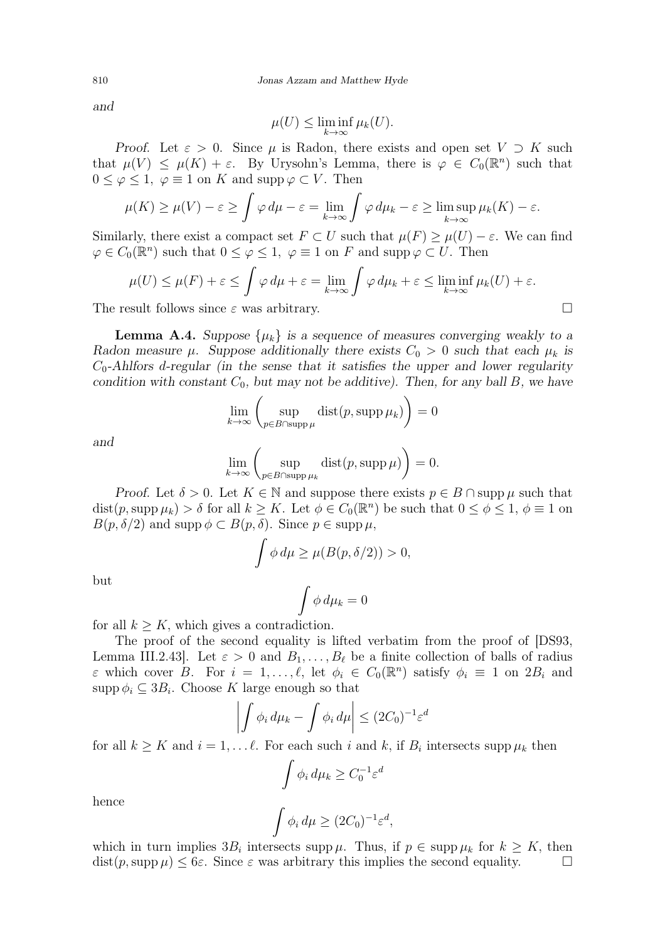and

$$
\mu(U) \le \liminf_{k \to \infty} \mu_k(U).
$$

Proof. Let  $\varepsilon > 0$ . Since  $\mu$  is Radon, there exists and open set  $V \supset K$  such that  $\mu(V) \leq \mu(K) + \varepsilon$ . By Urysohn's Lemma, there is  $\varphi \in C_0(\mathbb{R}^n)$  such that  $0 \leq \varphi \leq 1$ ,  $\varphi \equiv 1$  on K and supp  $\varphi \subset V$ . Then

$$
\mu(K) \ge \mu(V) - \varepsilon \ge \int \varphi \, d\mu - \varepsilon = \lim_{k \to \infty} \int \varphi \, d\mu_k - \varepsilon \ge \limsup_{k \to \infty} \mu_k(K) - \varepsilon.
$$

Similarly, there exist a compact set  $F \subset U$  such that  $\mu(F) \geq \mu(U) - \varepsilon$ . We can find  $\varphi \in C_0(\mathbb{R}^n)$  such that  $0 \leq \varphi \leq 1$ ,  $\varphi \equiv 1$  on F and supp $\varphi \subset U$ . Then

$$
\mu(U) \le \mu(F) + \varepsilon \le \int \varphi \, d\mu + \varepsilon = \lim_{k \to \infty} \int \varphi \, d\mu_k + \varepsilon \le \liminf_{k \to \infty} \mu_k(U) + \varepsilon.
$$

The result follows since  $\varepsilon$  was arbitrary.

**Lemma A.4.** Suppose  $\{\mu_k\}$  is a sequence of measures converging weakly to a Radon measure  $\mu$ . Suppose additionally there exists  $C_0 > 0$  such that each  $\mu_k$  is  $C_0$ -Ahlfors d-regular (in the sense that it satisfies the upper and lower regularity condition with constant  $C_0$ , but may not be additive). Then, for any ball B, we have

$$
\lim_{k \to \infty} \left( \sup_{p \in B \cap \text{supp }\mu} \text{dist}(p, \text{supp }\mu_k) \right) = 0
$$

and

$$
\lim_{k \to \infty} \left( \sup_{p \in B \cap \text{supp } \mu_k} \text{dist}(p, \text{supp } \mu) \right) = 0.
$$

Proof. Let  $\delta > 0$ . Let  $K \in \mathbb{N}$  and suppose there exists  $p \in B \cap \text{supp }\mu$  such that  $dist(p, supp \mu_k) > \delta$  for all  $k \geq K$ . Let  $\phi \in C_0(\mathbb{R}^n)$  be such that  $0 \leq \phi \leq 1$ ,  $\phi \equiv 1$  on  $B(p,\delta/2)$  and supp  $\phi \subset B(p,\delta)$ . Since  $p \in \text{supp }\mu$ ,

$$
\int \phi \, d\mu \ge \mu(B(p,\delta/2)) > 0,
$$

but

$$
\int \phi \, d\mu_k = 0
$$

for all  $k > K$ , which gives a contradiction.

The proof of the second equality is lifted verbatim from the proof of [\[DS93,](#page-27-7) Lemma III.2.43]. Let  $\varepsilon > 0$  and  $B_1, \ldots, B_\ell$  be a finite collection of balls of radius  $\varepsilon$  which cover  $B$ . For  $i = 1, \ldots, \ell$ , let  $\phi_i \in C_0(\mathbb{R}^n)$  satisfy  $\phi_i \equiv 1$  on  $2B_i$  and  $\text{supp}\,\phi_i\subseteq 3B_i.$  Choose K large enough so that

$$
\left| \int \phi_i \, d\mu_k - \int \phi_i \, d\mu \right| \le (2C_0)^{-1} \varepsilon^d
$$

for all  $k \geq K$  and  $i = 1, \ldots \ell$ . For each such i and k, if  $B_i$  intersects supp  $\mu_k$  then

$$
\int \phi_i \, d\mu_k \ge C_0^{-1} \varepsilon^d
$$

$$
\int \phi_i \, d\mu > (2C_0)^{-1} \varepsilon^d
$$

hence

$$
\int \phi_i \, d\mu \ge (2C_0)^{-1} \varepsilon^d,
$$

which in turn implies  $3B_i$  intersects supp  $\mu$ . Thus, if  $p \in \text{supp } \mu_k$  for  $k \geq K$ , then  $dist(p, \text{supp }\mu) \leq 6\varepsilon$ . Since  $\varepsilon$  was arbitrary this implies the second equality.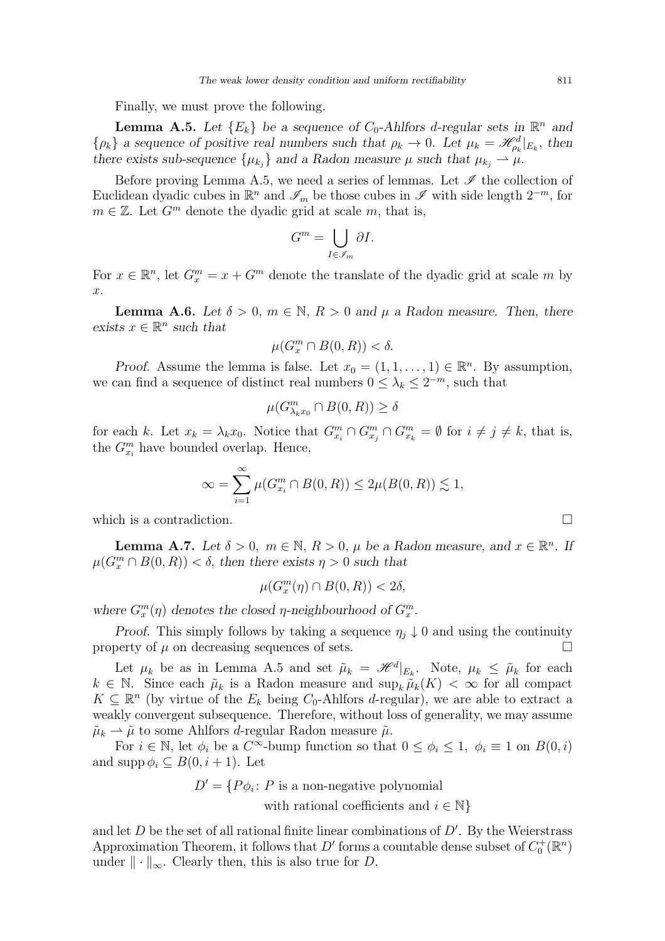Finally, we must prove the following.

<span id="page-20-0"></span>**Lemma A.5.** Let  ${E_k}$  be a sequence of  $C_0$ -Ahlfors d-regular sets in  $\mathbb{R}^n$  and  $\{\rho_k\}$  a sequence of positive real numbers such that  $\rho_k \to 0$ . Let  $\mu_k = \mathcal{H}_{\rho_k}^d|_{E_k}$ , then there exists sub-sequence  $\{\mu_{k_j}\}\$  and a Radon measure  $\mu$  such that  $\mu_{k_j} \to \mu$ .

Before proving Lemma [A.5,](#page-20-0) we need a series of lemmas. Let  $\mathscr I$  the collection of Euclidean dyadic cubes in  $\mathbb{R}^n$  and  $\mathscr{I}_m$  be those cubes in  $\mathscr{I}$  with side length  $2^{-m}$ , for  $m \in \mathbb{Z}$ . Let  $G^m$  denote the dyadic grid at scale m, that is,

$$
G^m = \bigcup_{I \in \mathscr{I}_m} \partial I.
$$

For  $x \in \mathbb{R}^n$ , let  $G_x^m = x + G^m$  denote the translate of the dyadic grid at scale m by  $x$ .

<span id="page-20-2"></span>**Lemma A.6.** Let  $\delta > 0$ ,  $m \in \mathbb{N}$ ,  $R > 0$  and  $\mu$  a Radon measure. Then, there exists  $x \in \mathbb{R}^n$  such that

$$
\mu(G_x^m \cap B(0,R)) < \delta.
$$

*Proof.* Assume the lemma is false. Let  $x_0 = (1, 1, \ldots, 1) \in \mathbb{R}^n$ . By assumption, we can find a sequence of distinct real numbers  $0 \leq \lambda_k \leq 2^{-m}$ , such that

$$
\mu(G_{\lambda_k x_0}^m \cap B(0,R)) \ge \delta
$$

for each k. Let  $x_k = \lambda_k x_0$ . Notice that  $G_{x_i}^m \cap G_{x_j}^m \cap G_{x_k}^m = \emptyset$  for  $i \neq j \neq k$ , that is, the  $G_{x_i}^m$  have bounded overlap. Hence,

$$
\infty = \sum_{i=1}^{\infty} \mu(G_{x_i}^m \cap B(0, R)) \le 2\mu(B(0, R)) \lesssim 1,
$$

which is a contradiction.  $\Box$ 

<span id="page-20-1"></span>**Lemma A.7.** Let  $\delta > 0$ ,  $m \in \mathbb{N}$ ,  $R > 0$ ,  $\mu$  be a Radon measure, and  $x \in \mathbb{R}^n$ . If  $\mu(G_x^m \cap B(0,R)) < \delta$ , then there exists  $\eta > 0$  such that

$$
\mu(G_x^m(\eta) \cap B(0,R)) < 2\delta,
$$

where  $G_x^m(\eta)$  denotes the closed  $\eta$ -neighbourhood of  $G_x^m$ .

*Proof.* This simply follows by taking a sequence  $\eta_i \downarrow 0$  and using the continuity property of  $\mu$  on decreasing sequences of sets.  $\Box$ 

Let  $\mu_k$  be as in Lemma [A.5](#page-20-0) and set  $\tilde{\mu}_k = \mathcal{H}^d|_{E_k}$ . Note,  $\mu_k \leq \tilde{\mu}_k$  for each  $k \in \mathbb{N}$ . Since each  $\tilde{\mu}_k$  is a Radon measure and  $\sup_k \tilde{\mu}_k(K) < \infty$  for all compact  $K \subseteq \mathbb{R}^n$  (by virtue of the  $E_k$  being  $C_0$ -Ahlfors d-regular), we are able to extract a weakly convergent subsequence. Therefore, without loss of generality, we may assume  $\tilde{\mu}_k \rightharpoonup \tilde{\mu}$  to some Ahlfors *d*-regular Radon measure  $\tilde{\mu}$ .

For  $i \in \mathbb{N}$ , let  $\phi_i$  be a  $C^{\infty}$ -bump function so that  $0 \le \phi_i \le 1$ ,  $\phi_i \equiv 1$  on  $B(0, i)$ and supp  $\phi_i \subseteq B(0, i + 1)$ . Let

 $D' = \{P\phi_i : P \text{ is a non-negative polynomial }\}$ 

with rational coefficients and  $i \in \mathbb{N}$ 

and let  $D$  be the set of all rational finite linear combinations of  $D'$ . By the Weierstrass Approximation Theorem, it follows that  $D'$  forms a countable dense subset of  $C_0^+(\mathbb{R}^n)$ under  $\|\cdot\|_{\infty}$ . Clearly then, this is also true for D.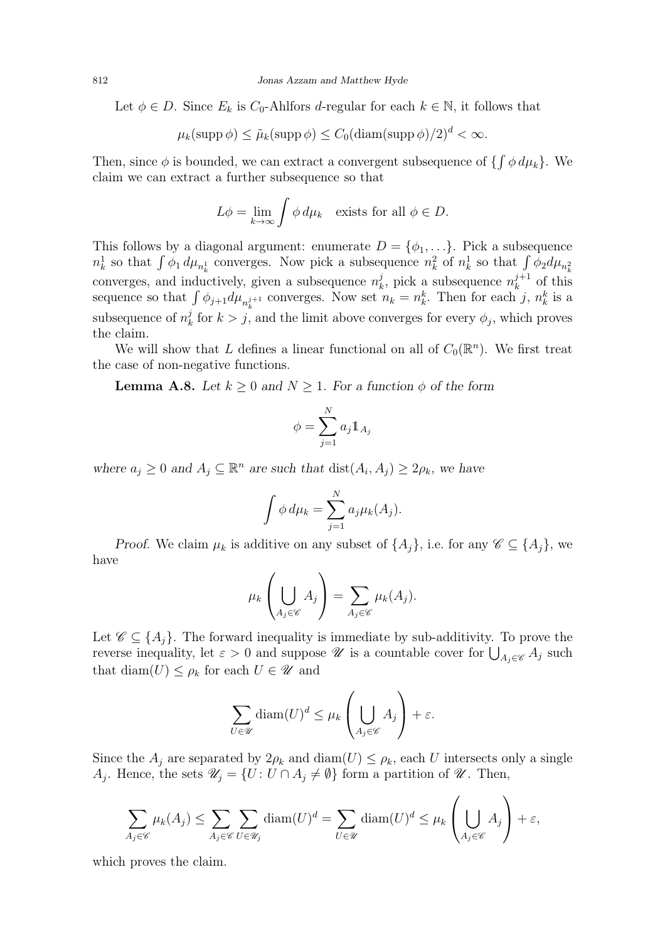Let  $\phi \in D$ . Since  $E_k$  is  $C_0$ -Ahlfors *d*-regular for each  $k \in \mathbb{N}$ , it follows that

$$
\mu_k(\mathrm{supp}\,\phi) \le \tilde{\mu}_k(\mathrm{supp}\,\phi) \le C_0(\mathrm{diam}(\mathrm{supp}\,\phi)/2)^d < \infty.
$$

Then, since  $\phi$  is bounded, we can extract a convergent subsequence of  $\{\int \phi \, d\mu_k\}$ . We claim we can extract a further subsequence so that

$$
L\phi = \lim_{k \to \infty} \int \phi \, d\mu_k \quad \text{exists for all } \phi \in D.
$$

This follows by a diagonal argument: enumerate  $D = \{\phi_1, \ldots\}$ . Pick a subsequence  $n_k^1$  so that  $\int \phi_1 d\mu_{n_k^1}$  converges. Now pick a subsequence  $n_k^2$  of  $n_k^1$  so that  $\int \phi_2 d\mu_{n_k^2}$ converges, and inductively, given a subsequence  $n_k^j$  $\mu_k^j$ , pick a subsequence  $n_k^{j+1}$  $\lambda_k^{j+1}$  of this sequence so that  $\int \phi_{j+1} d\mu_{n_k^{j+1}}$  converges. Now set  $n_k = n_k^k$ . Then for each j,  $n_k^k$  is a subsequence of  $n_k^j$  $\frac{d}{dx}$  for  $k > j$ , and the limit above converges for every  $\phi_j$ , which proves the claim.

We will show that L defines a linear functional on all of  $C_0(\mathbb{R}^n)$ . We first treat the case of non-negative functions.

<span id="page-21-0"></span>**Lemma A.8.** Let  $k \geq 0$  and  $N \geq 1$ . For a function  $\phi$  of the form

$$
\phi = \sum_{j=1}^N a_j \mathbb{1}_{A_j}
$$

where  $a_j \geq 0$  and  $A_j \subseteq \mathbb{R}^n$  are such that  $dist(A_i, A_j) \geq 2\rho_k$ , we have

$$
\int \phi \, d\mu_k = \sum_{j=1}^N a_j \mu_k(A_j).
$$

Proof. We claim  $\mu_k$  is additive on any subset of  $\{A_j\}$ , i.e. for any  $\mathscr{C} \subseteq \{A_i\}$ , we have

$$
\mu_k\left(\bigcup_{A_j\in\mathscr{C}}A_j\right)=\sum_{A_j\in\mathscr{C}}\mu_k(A_j).
$$

Let  $\mathscr{C} \subseteq \{A_i\}$ . The forward inequality is immediate by sub-additivity. To prove the reverse inequality, let  $\varepsilon > 0$  and suppose  $\mathscr U$  is a countable cover for  $\bigcup_{A_j \in \mathscr C} A_j$  such that diam $(U) \leq \rho_k$  for each  $U \in \mathscr{U}$  and

$$
\sum_{U \in \mathscr{U}} \text{diam}(U)^d \le \mu_k \left( \bigcup_{A_j \in \mathscr{C}} A_j \right) + \varepsilon.
$$

Since the  $A_j$  are separated by  $2\rho_k$  and  $\text{diam}(U) \leq \rho_k$ , each U intersects only a single  $A_j$ . Hence, the sets  $\mathscr{U}_j = \{U : U \cap A_j \neq \emptyset\}$  form a partition of  $\mathscr{U}$ . Then,

$$
\sum_{A_j \in \mathscr{C}} \mu_k(A_j) \le \sum_{A_j \in \mathscr{C}} \sum_{U \in \mathscr{U}_j} \text{diam}(U)^d = \sum_{U \in \mathscr{U}} \text{diam}(U)^d \le \mu_k \left(\bigcup_{A_j \in \mathscr{C}} A_j\right) + \varepsilon,
$$

which proves the claim.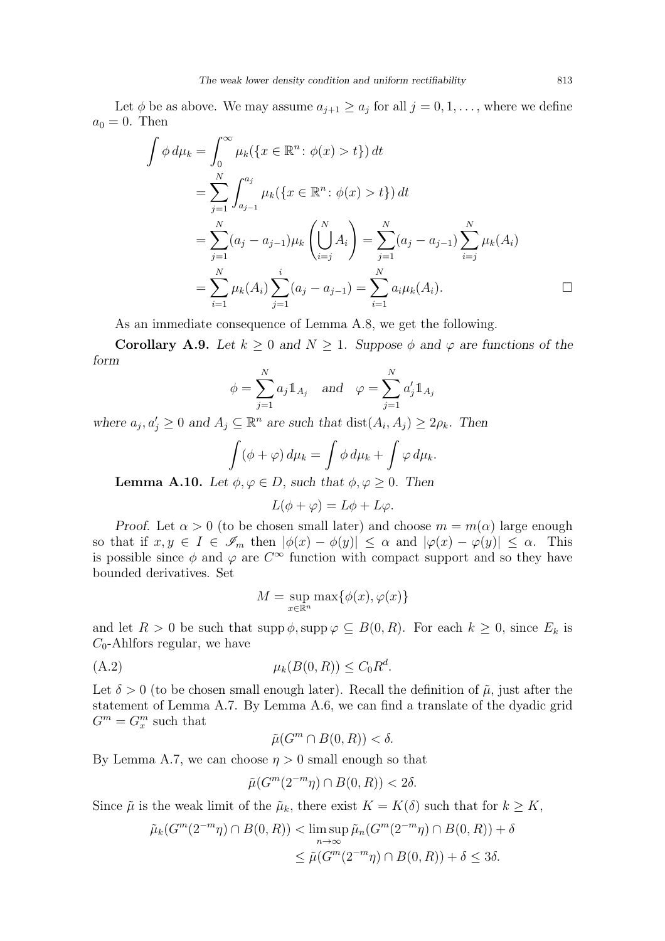Let  $\phi$  be as above. We may assume  $a_{j+1} \ge a_j$  for all  $j = 0, 1, \ldots$ , where we define  $a_0 = 0$ . Then

$$
\int \phi \, d\mu_k = \int_0^\infty \mu_k(\{x \in \mathbb{R}^n : \phi(x) > t\}) \, dt
$$
\n
$$
= \sum_{j=1}^N \int_{a_{j-1}}^{a_j} \mu_k(\{x \in \mathbb{R}^n : \phi(x) > t\}) \, dt
$$
\n
$$
= \sum_{j=1}^N (a_j - a_{j-1}) \mu_k \left( \bigcup_{i=j}^N A_i \right) = \sum_{j=1}^N (a_j - a_{j-1}) \sum_{i=j}^N \mu_k(A_i)
$$
\n
$$
= \sum_{i=1}^N \mu_k(A_i) \sum_{j=1}^i (a_j - a_{j-1}) = \sum_{i=1}^N a_i \mu_k(A_i).
$$

As an immediate consequence of Lemma [A.8,](#page-21-0) we get the following.

<span id="page-22-0"></span>**Corollary A.9.** Let  $k \geq 0$  and  $N \geq 1$ . Suppose  $\phi$  and  $\varphi$  are functions of the form

$$
\phi = \sum_{j=1}^{N} a_j \mathbb{1}_{A_j} \quad \text{and} \quad \varphi = \sum_{j=1}^{N} a'_j \mathbb{1}_{A_j}
$$

where  $a_j, a'_j \geq 0$  and  $A_j \subseteq \mathbb{R}^n$  are such that  $dist(A_i, A_j) \geq 2\rho_k$ . Then

$$
\int (\phi + \varphi) d\mu_k = \int \phi d\mu_k + \int \varphi d\mu_k.
$$

**Lemma A.10.** Let  $\phi, \varphi \in D$ , such that  $\phi, \varphi \geq 0$ . Then

$$
L(\phi + \varphi) = L\phi + L\varphi.
$$

Proof. Let  $\alpha > 0$  (to be chosen small later) and choose  $m = m(\alpha)$  large enough so that if  $x, y \in I \in \mathscr{I}_m$  then  $|\phi(x) - \phi(y)| \leq \alpha$  and  $|\phi(x) - \phi(y)| \leq \alpha$ . This is possible since  $\phi$  and  $\varphi$  are  $C^{\infty}$  function with compact support and so they have bounded derivatives. Set

<span id="page-22-1"></span>
$$
M = \sup_{x \in \mathbb{R}^n} \max\{\phi(x), \varphi(x)\}
$$

and let  $R > 0$  be such that supp  $\phi$ , supp  $\varphi \subseteq B(0, R)$ . For each  $k \geq 0$ , since  $E_k$  is  $C_0$ -Ahlfors regular, we have

$$
\mu_k(B(0,R)) \le C_0 R^d.
$$

Let  $\delta > 0$  (to be chosen small enough later). Recall the definition of  $\tilde{\mu}$ , just after the statement of Lemma [A.7.](#page-20-1) By Lemma [A.6,](#page-20-2) we can find a translate of the dyadic grid  $G^m = G_x^m$  such that

$$
\tilde{\mu}(G^m \cap B(0,R)) < \delta.
$$

By Lemma [A.7,](#page-20-1) we can choose  $\eta > 0$  small enough so that

$$
\tilde{\mu}(G^m(2^{-m}\eta) \cap B(0,R)) < 2\delta.
$$

Since  $\tilde{\mu}$  is the weak limit of the  $\tilde{\mu}_k$ , there exist  $K = K(\delta)$  such that for  $k \geq K$ ,

$$
\tilde{\mu}_k(G^m(2^{-m}\eta) \cap B(0,R)) < \limsup_{n \to \infty} \tilde{\mu}_n(G^m(2^{-m}\eta) \cap B(0,R)) + \delta
$$
  

$$
\leq \tilde{\mu}(G^m(2^{-m}\eta) \cap B(0,R)) + \delta \leq 3\delta.
$$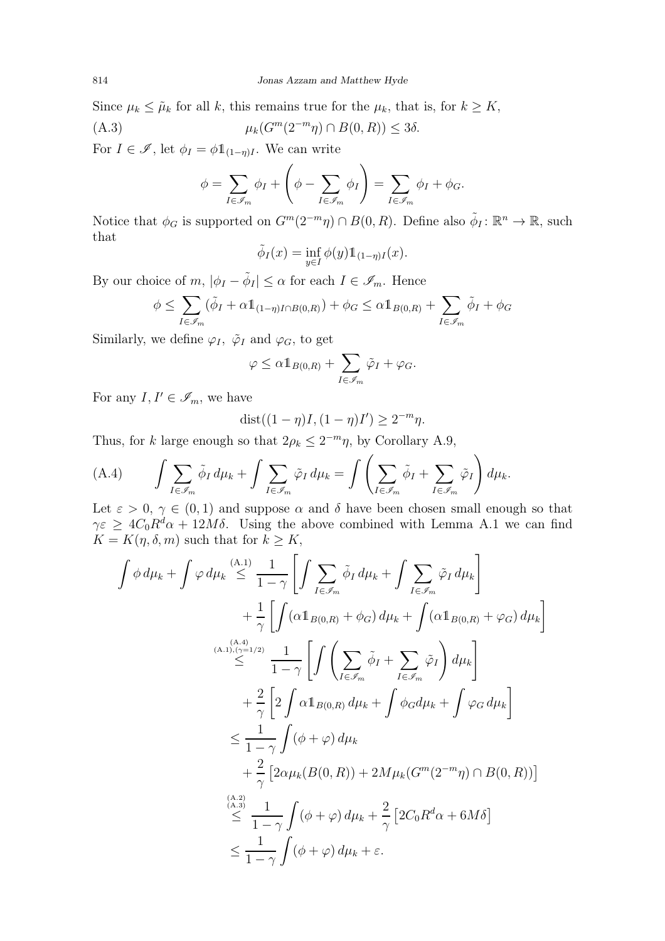Since  $\mu_k \leq \tilde{\mu}_k$  for all k, this remains true for the  $\mu_k$ , that is, for  $k \geq K$ ,  $(C^m(2^{-m}n) \cap B(0,R)) < 3\delta$ 

(A.3) 
$$
\mu_k(G^m(2^{-m}\eta) \cap B(0,R)) \le 3\delta
$$

For  $I \in \mathscr{I}$ , let  $\phi_I = \phi \mathbb{1}_{(1-\eta)I}$ . We can write

<span id="page-23-1"></span>
$$
\phi = \sum_{I \in \mathcal{I}_m} \phi_I + \left( \phi - \sum_{I \in \mathcal{I}_m} \phi_I \right) = \sum_{I \in \mathcal{I}_m} \phi_I + \phi_G.
$$

Notice that  $\phi_G$  is supported on  $G^m(2^{-m}\eta) \cap B(0,R)$ . Define also  $\tilde{\phi}_I : \mathbb{R}^n \to \mathbb{R}$ , such that

$$
\tilde{\phi}_I(x) = \inf_{y \in I} \phi(y) \mathbb{1}_{(1-\eta)I}(x).
$$

By our choice of  $m, |\phi_I - \tilde{\phi}_I| \leq \alpha$  for each  $I \in \mathscr{I}_m$ . Hence

$$
\phi \leq \sum_{I \in \mathscr{I}_m} (\tilde{\phi}_I + \alpha \mathbb{1}_{(1-\eta)I \cap B(0,R)}) + \phi_G \leq \alpha \mathbb{1}_{B(0,R)} + \sum_{I \in \mathscr{I}_m} \tilde{\phi}_I + \phi_G
$$

Similarly, we define  $\varphi_I$ ,  $\tilde{\varphi}_I$  and  $\varphi_G$ , to get

$$
\varphi \leq \alpha \mathbb{1}_{B(0,R)} + \sum_{I \in \mathscr{I}_m} \tilde{\varphi}_I + \varphi_G.
$$

For any  $I, I' \in \mathscr{I}_m$ , we have

$$
dist((1 - \eta)I, (1 - \eta)I') \ge 2^{-m}\eta.
$$

Thus, for k large enough so that  $2\rho_k \leq 2^{-m}\eta$ , by Corollary [A.9,](#page-22-0)

<span id="page-23-0"></span>(A.4) 
$$
\int \sum_{I \in \mathscr{I}_m} \tilde{\phi}_I d\mu_k + \int \sum_{I \in \mathscr{I}_m} \tilde{\varphi}_I d\mu_k = \int \left( \sum_{I \in \mathscr{I}_m} \tilde{\phi}_I + \sum_{I \in \mathscr{I}_m} \tilde{\varphi}_I \right) d\mu_k.
$$

Let  $\varepsilon > 0$ ,  $\gamma \in (0,1)$  and suppose  $\alpha$  and  $\delta$  have been chosen small enough so that  $\gamma \varepsilon \geq 4C_0R^d\alpha + 12M\delta$ . Using the above combined with Lemma [A.1](#page-18-0) we can find  $K = K(\eta, \delta, m)$  such that for  $k \geq K$ ,

$$
\int \phi \, d\mu_k + \int \varphi \, d\mu_k \stackrel{(\mathbf{A},1)}{\leq} \frac{1}{1-\gamma} \left[ \int \sum_{I \in \mathscr{I}_m} \tilde{\phi}_I \, d\mu_k + \int \sum_{I \in \mathscr{I}_m} \tilde{\varphi}_I \, d\mu_k \right] \n+ \frac{1}{\gamma} \left[ \int (\alpha \mathbb{1}_{B(0,R)} + \phi_G) \, d\mu_k + \int (\alpha \mathbb{1}_{B(0,R)} + \varphi_G) \, d\mu_k \right] \n\stackrel{(\mathbf{A},1), (\gamma=1/2)}{\leq} \frac{1}{1-\gamma} \left[ \int \left( \sum_{I \in \mathscr{I}_m} \tilde{\phi}_I + \sum_{I \in \mathscr{I}_m} \tilde{\varphi}_I \right) \, d\mu_k \right] \n+ \frac{2}{\gamma} \left[ 2 \int \alpha \mathbb{1}_{B(0,R)} \, d\mu_k + \int \phi_G d\mu_k + \int \varphi_G \, d\mu_k \right] \n+ \frac{2}{\gamma} \left[ 2\alpha \mu_k (B(0,R)) + 2M\mu_k (G^m (2^{-m}\eta) \cap B(0,R)) \right] \n\stackrel{(\mathbf{A},2)}{\leq} \frac{1}{1-\gamma} \int (\phi + \varphi) \, d\mu_k + \frac{2}{\gamma} \left[ 2C_0 R^d \alpha + 6M \delta \right] \n\leq \frac{1}{1-\gamma} \int (\phi + \varphi) \, d\mu_k + \varepsilon.
$$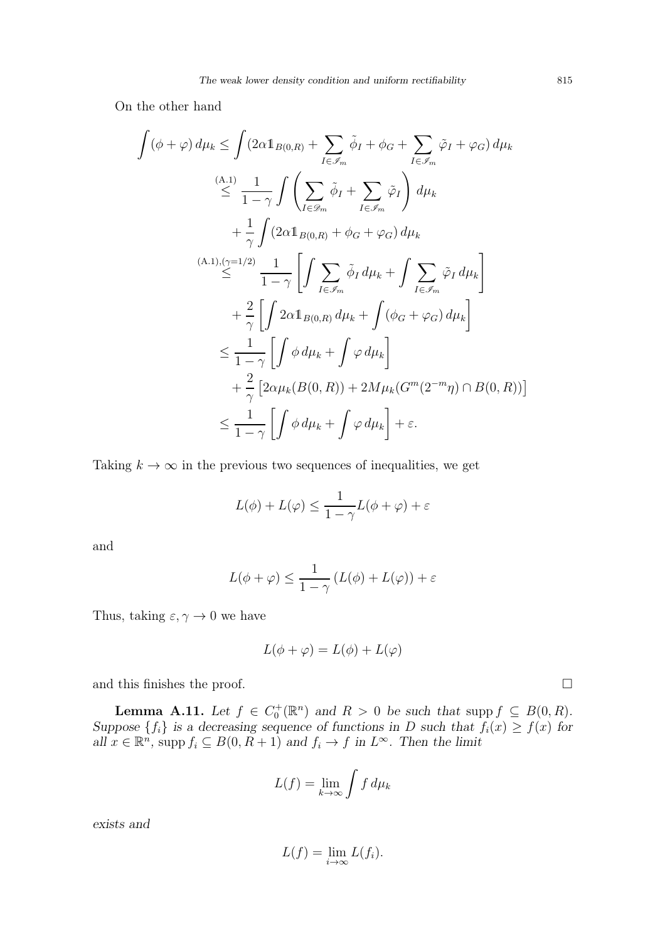On the other hand

$$
\int (\phi + \varphi) d\mu_k \leq \int (2\alpha \mathbb{1}_{B(0,R)} + \sum_{I \in \mathscr{I}_m} \tilde{\phi}_I + \phi_G + \sum_{I \in \mathscr{I}_m} \tilde{\varphi}_I + \varphi_G) d\mu_k
$$
\n
$$
\leq \frac{(\mathbf{A}.\mathbf{1})}{1-\gamma} \int \left( \sum_{I \in \mathscr{D}_m} \tilde{\phi}_I + \sum_{I \in \mathscr{I}_m} \tilde{\varphi}_I \right) d\mu_k
$$
\n
$$
+ \frac{1}{\gamma} \int (2\alpha \mathbb{1}_{B(0,R)} + \phi_G + \varphi_G) d\mu_k
$$
\n
$$
\leq \frac{(\mathbf{A}.\mathbf{1}), (\gamma = 1/2)}{1-\gamma} \prod_{I \in \mathscr{I}_m} \sum_{\tilde{\phi}_I} d\mu_k + \int \sum_{I \in \mathscr{I}_m} \tilde{\varphi}_I d\mu_k
$$
\n
$$
+ \frac{2}{\gamma} \left[ \int 2\alpha \mathbb{1}_{B(0,R)} d\mu_k + \int (\phi_G + \varphi_G) d\mu_k \right]
$$
\n
$$
\leq \frac{1}{1-\gamma} \left[ \int \phi d\mu_k + \int \varphi d\mu_k \right]
$$
\n
$$
+ \frac{2}{\gamma} \left[ 2\alpha \mu_k (B(0,R)) + 2M\mu_k (G^m (2^{-m}\eta) \cap B(0,R)) \right]
$$
\n
$$
\leq \frac{1}{1-\gamma} \left[ \int \phi d\mu_k + \int \varphi d\mu_k \right] + \varepsilon.
$$

Taking  $k \to \infty$  in the previous two sequences of inequalities, we get

$$
L(\phi)+L(\varphi)\leq \frac{1}{1-\gamma}L(\phi+\varphi)+\varepsilon
$$

and

$$
L(\phi + \varphi) \le \frac{1}{1 - \gamma} \left( L(\phi) + L(\varphi) \right) + \varepsilon
$$

Thus, taking  $\varepsilon, \gamma \to 0$  we have

$$
L(\phi + \varphi) = L(\phi) + L(\varphi)
$$

and this finishes the proof.  $\Box$ 

<span id="page-24-0"></span>**Lemma A.11.** Let  $f \in C_0^+(\mathbb{R}^n)$  and  $R > 0$  be such that supp  $f \subseteq B(0, R)$ . Suppose  $\{f_i\}$  is a decreasing sequence of functions in D such that  $f_i(x) \ge f(x)$  for all  $x \in \mathbb{R}^n$ , supp  $f_i \subseteq B(0, R+1)$  and  $f_i \to f$  in  $L^{\infty}$ . Then the limit

$$
L(f) = \lim_{k \to \infty} \int f \, d\mu_k
$$

exists and

$$
L(f) = \lim_{i \to \infty} L(f_i).
$$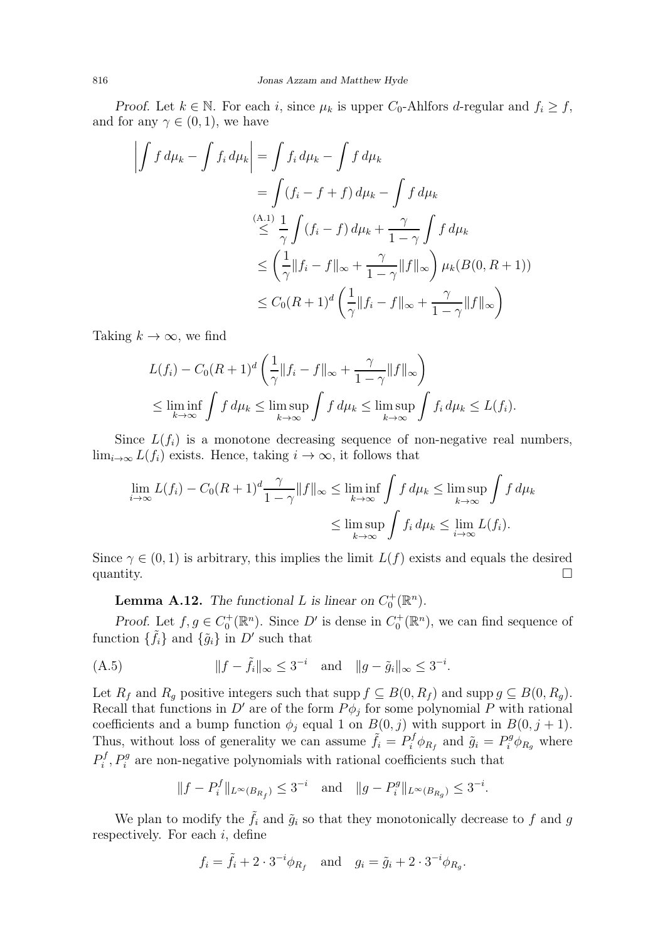Proof. Let  $k \in \mathbb{N}$ . For each i, since  $\mu_k$  is upper  $C_0$ -Ahlfors d-regular and  $f_i \geq f$ , and for any  $\gamma \in (0,1)$ , we have

$$
\left| \int f d\mu_k - \int f_i d\mu_k \right| = \int f_i d\mu_k - \int f d\mu_k
$$
  
= 
$$
\int (f_i - f + f) d\mu_k - \int f d\mu_k
$$
  

$$
\leq \frac{(\mathbf{A} \cdot \mathbf{I})}{\gamma} \int (f_i - f) d\mu_k + \frac{\gamma}{1 - \gamma} \int f d\mu_k
$$
  

$$
\leq \left( \frac{1}{\gamma} \|f_i - f\|_{\infty} + \frac{\gamma}{1 - \gamma} \|f\|_{\infty} \right) \mu_k(B(\mathbf{0}, R + 1))
$$
  

$$
\leq C_0 (R + 1)^d \left( \frac{1}{\gamma} \|f_i - f\|_{\infty} + \frac{\gamma}{1 - \gamma} \|f\|_{\infty} \right)
$$

Taking  $k \to \infty$ , we find

$$
L(f_i) - C_0(R+1)^d \left(\frac{1}{\gamma} \|f_i - f\|_{\infty} + \frac{\gamma}{1-\gamma} \|f\|_{\infty}\right)
$$
  

$$
\leq \liminf_{k \to \infty} \int f d\mu_k \leq \limsup_{k \to \infty} \int f d\mu_k \leq \limsup_{k \to \infty} \int f_i d\mu_k \leq L(f_i).
$$

Since  $L(f_i)$  is a monotone decreasing sequence of non-negative real numbers,  $\lim_{i\to\infty} L(f_i)$  exists. Hence, taking  $i\to\infty$ , it follows that

$$
\lim_{i \to \infty} L(f_i) - C_0(R+1)^d \frac{\gamma}{1-\gamma} ||f||_{\infty} \le \liminf_{k \to \infty} \int f d\mu_k \le \limsup_{k \to \infty} \int f d\mu_k
$$
  

$$
\le \limsup_{k \to \infty} \int f_i d\mu_k \le \lim_{i \to \infty} L(f_i).
$$

Since  $\gamma \in (0, 1)$  is arbitrary, this implies the limit  $L(f)$  exists and equals the desired quantity.  $\Box$ 

**Lemma A.12.** The functional L is linear on  $C_0^+(\mathbb{R}^n)$ .

<span id="page-25-1"></span>Proof. Let  $f, g \in C_0^+(\mathbb{R}^n)$ . Since D' is dense in  $C_0^+(\mathbb{R}^n)$ , we can find sequence of function  $\{\tilde{f}_i\}$  and  $\{\tilde{g}_i\}$  in  $D'$  such that

<span id="page-25-0"></span>(A.5) 
$$
||f - \tilde{f}_i||_{\infty} \le 3^{-i}
$$
 and  $||g - \tilde{g}_i||_{\infty} \le 3^{-i}$ .

Let  $R_f$  and  $R_g$  positive integers such that supp  $f \subseteq B(0, R_f)$  and supp  $g \subseteq B(0, R_g)$ . Recall that functions in  $D'$  are of the form  $P\phi_j$  for some polynomial P with rational coefficients and a bump function  $\phi_j$  equal 1 on  $B(0, j)$  with support in  $B(0, j + 1)$ . Thus, without loss of generality we can assume  $\tilde{f}_i = P_i^f \phi_{R_f}$  and  $\tilde{g}_i = P_i^g \phi_{R_g}$  where  $P_i^f$  $i<sup>f</sup>$ ,  $P_i<sup>g</sup>$  are non-negative polynomials with rational coefficients such that

$$
||f - P_i^f||_{L^{\infty}(B_{R_f})} \leq 3^{-i}
$$
 and  $||g - P_i^g||_{L^{\infty}(B_{R_g})} \leq 3^{-i}$ .

We plan to modify the  $\tilde{f}_i$  and  $\tilde{g}_i$  so that they monotonically decrease to f and g respectively. For each  $i$ , define

$$
f_i = \tilde{f}_i + 2 \cdot 3^{-i} \phi_{R_f}
$$
 and  $g_i = \tilde{g}_i + 2 \cdot 3^{-i} \phi_{R_g}$ .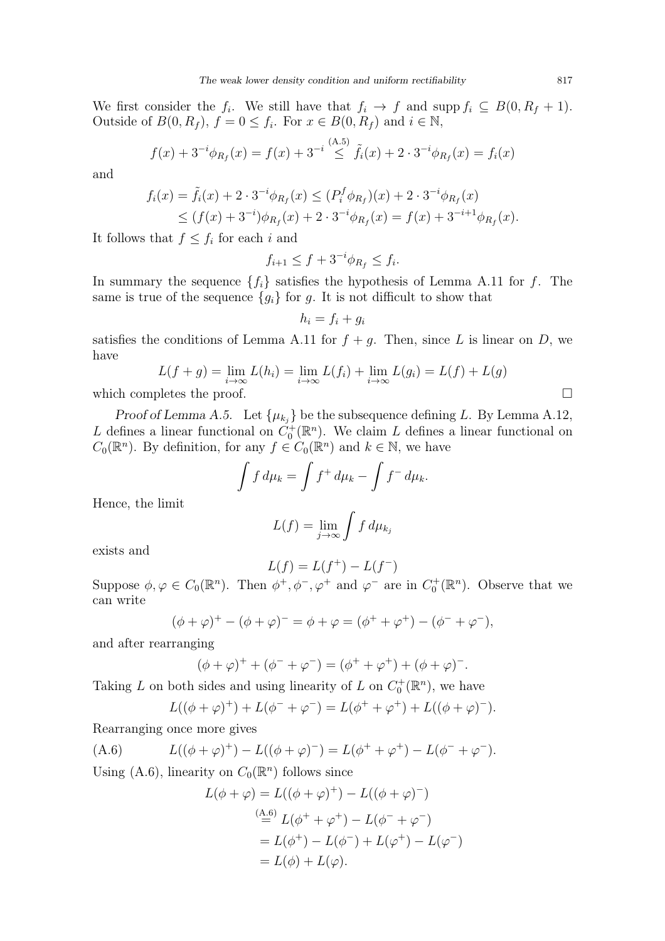We first consider the  $f_i$ . We still have that  $f_i \to f$  and supp  $f_i \subseteq B(0, R_f + 1)$ . Outside of  $B(0, R_f)$ ,  $f = 0 \le f_i$ . For  $x \in B(0, R_f)$  and  $i \in \mathbb{N}$ ,

$$
f(x) + 3^{-i} \phi_{R_f}(x) = f(x) + 3^{-i} \stackrel{\text{(A.5)}}{\leq} \tilde{f}_i(x) + 2 \cdot 3^{-i} \phi_{R_f}(x) = f_i(x)
$$

and

$$
f_i(x) = \tilde{f}_i(x) + 2 \cdot 3^{-i} \phi_{R_f}(x) \le (P_i^f \phi_{R_f})(x) + 2 \cdot 3^{-i} \phi_{R_f}(x)
$$
  
 
$$
\le (f(x) + 3^{-i}) \phi_{R_f}(x) + 2 \cdot 3^{-i} \phi_{R_f}(x) = f(x) + 3^{-i+1} \phi_{R_f}(x).
$$

It follows that  $f \leq f_i$  for each i and

$$
f_{i+1} \le f + 3^{-i} \phi_{R_f} \le f_i.
$$

In summary the sequence  $\{f_i\}$  satisfies the hypothesis of Lemma [A.11](#page-24-0) for f. The same is true of the sequence  ${g_i}$  for g. It is not difficult to show that

$$
h_i = f_i + g_i
$$

satisfies the conditions of Lemma [A.11](#page-24-0) for  $f + g$ . Then, since L is linear on D, we have

$$
L(f+g) = \lim_{i \to \infty} L(h_i) = \lim_{i \to \infty} L(f_i) + \lim_{i \to \infty} L(g_i) = L(f) + L(g)
$$
  
which completes the proof.

Proof of Lemma [A.5.](#page-20-0) Let  $\{\mu_{k_j}\}\$ be the subsequence defining L. By Lemma [A.12,](#page-25-1) L defines a linear functional on  $\check{C}_0^+(\mathbb{R}^n)$ . We claim L defines a linear functional on  $C_0(\mathbb{R}^n)$ . By definition, for any  $f \in C_0(\mathbb{R}^n)$  and  $k \in \mathbb{N}$ , we have

$$
\int f d\mu_k = \int f^+ d\mu_k - \int f^- d\mu_k.
$$

Hence, the limit

$$
L(f) = \lim_{j \to \infty} \int f d\mu_{k_j}
$$

exists and

$$
L(f) = L(f^+) - L(f^-)
$$

Suppose  $\phi, \varphi \in C_0(\mathbb{R}^n)$ . Then  $\phi^+, \phi^-, \varphi^+$  and  $\varphi^-$  are in  $C_0^+(\mathbb{R}^n)$ . Observe that we can write

$$
(\phi + \varphi)^{+} - (\phi + \varphi)^{-} = \phi + \varphi = (\phi^{+} + \varphi^{+}) - (\phi^{-} + \varphi^{-}),
$$

and after rearranging

$$
(\phi + \varphi)^{+} + (\phi^{-} + \varphi^{-}) = (\phi^{+} + \varphi^{+}) + (\phi + \varphi)^{-}.
$$

Taking L on both sides and using linearity of L on  $C_0^+(\mathbb{R}^n)$ , we have

$$
L((\phi + \varphi)^{+}) + L(\phi^{-} + \varphi^{-}) = L(\phi^{+} + \varphi^{+}) + L((\phi + \varphi)^{-}).
$$

Rearranging once more gives

<span id="page-26-0"></span>(A.6) 
$$
L((\phi + \varphi)^+) - L((\phi + \varphi)^-) = L(\phi^+ + \varphi^+) - L(\phi^- + \varphi^-).
$$

Using [\(A.6\)](#page-26-0), linearity on  $C_0(\mathbb{R}^n)$  follows since

$$
L(\phi + \varphi) = L((\phi + \varphi)^+) - L((\phi + \varphi)^-)
$$
  
\n
$$
\stackrel{\text{(A.6)}}{=} L(\phi^+ + \varphi^+) - L(\phi^- + \varphi^-)
$$
  
\n
$$
= L(\phi^+) - L(\phi^-) + L(\varphi^+) - L(\varphi^-)
$$
  
\n
$$
= L(\phi) + L(\varphi).
$$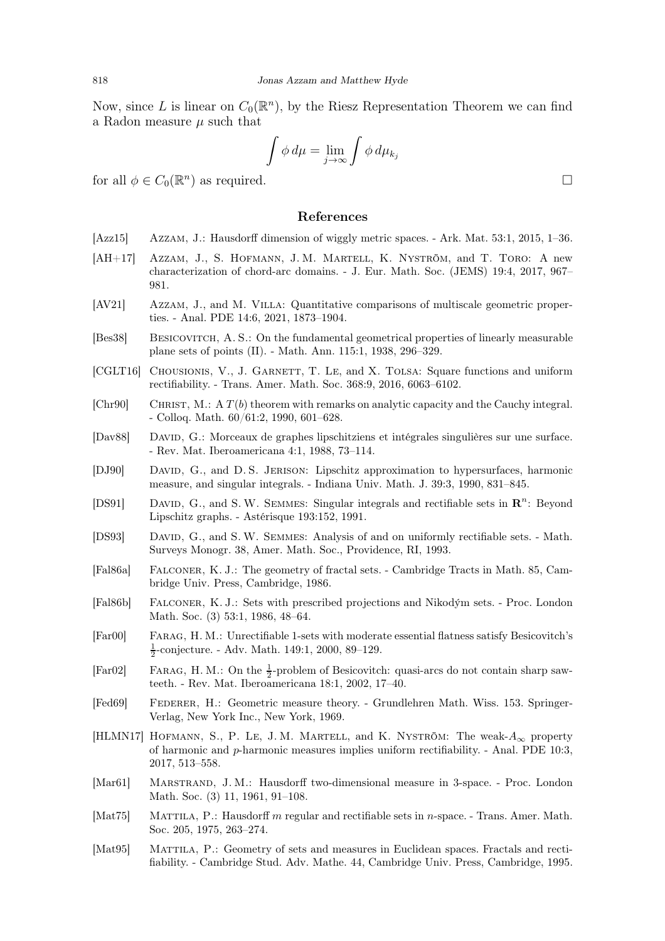Now, since L is linear on  $C_0(\mathbb{R}^n)$ , by the Riesz Representation Theorem we can find a Radon measure  $\mu$  such that

$$
\int \phi \, d\mu = \lim_{j \to \infty} \int \phi \, d\mu_{k_j}
$$

for all  $\phi \in C_0(\mathbb{R}^n)$  as required.

## References

- <span id="page-27-18"></span>[Azz15] Azzam, J.: Hausdorff dimension of wiggly metric spaces. - Ark. Mat. 53:1, 2015, 1–36.
- <span id="page-27-8"></span>[AH+17] Azzam, J., S. Hofmann, J. M. Martell, K. Nyström, and T. Toro: A new characterization of chord-arc domains. - J. Eur. Math. Soc. (JEMS) 19:4, 2017, 967– 981.
- <span id="page-27-14"></span>[AV21] Azzam, J., and M. Villa: Quantitative comparisons of multiscale geometric properties. - Anal. PDE 14:6, 2021, 1873–1904.
- <span id="page-27-0"></span>[Bes38] Besicovitch, A. S.: On the fundamental geometrical properties of linearly measurable plane sets of points (II). - Math. Ann. 115:1, 1938, 296–329.
- <span id="page-27-10"></span>[CGLT16] CHOUSIONIS, V., J. GARNETT, T. LE, and X. TOLSA: Square functions and uniform rectifiability. - Trans. Amer. Math. Soc. 368:9, 2016, 6063–6102.
- <span id="page-27-17"></span>[Chr90] CHRIST, M.: A  $T(b)$  theorem with remarks on analytic capacity and the Cauchy integral. - Colloq. Math. 60/61:2, 1990, 601–628.
- <span id="page-27-16"></span>[Dav88] David, G.: Morceaux de graphes lipschitziens et intégrales singulières sur une surface. - Rev. Mat. Iberoamericana 4:1, 1988, 73–114.
- <span id="page-27-11"></span>[DJ90] David, G., and D. S. Jerison: Lipschitz approximation to hypersurfaces, harmonic measure, and singular integrals. - Indiana Univ. Math. J. 39:3, 1990, 831–845.
- <span id="page-27-6"></span>[DS91] DAVID, G., and S. W. SEMMES: Singular integrals and rectifiable sets in  $\mathbb{R}^n$ : Beyond Lipschitz graphs. - Astérisque 193:152, 1991.
- <span id="page-27-7"></span>[DS93] David, G., and S. W. Semmes: Analysis of and on uniformly rectifiable sets. - Math. Surveys Monogr. 38, Amer. Math. Soc., Providence, RI, 1993.
- <span id="page-27-12"></span>[Fal86a] Falconer, K. J.: The geometry of fractal sets. - Cambridge Tracts in Math. 85, Cambridge Univ. Press, Cambridge, 1986.
- <span id="page-27-13"></span>[Fal86b] Falconer, K. J.: Sets with prescribed projections and Nikodým sets. - Proc. London Math. Soc. (3) 53:1, 1986, 48–64.
- <span id="page-27-1"></span>[Far00] Farag, H. M.: Unrectifiable 1-sets with moderate essential flatness satisfy Besicovitch's  $\frac{1}{2}$ -conjecture. - Adv. Math. 149:1, 2000, 89–129.
- <span id="page-27-2"></span>[Far02] FARAG, H. M.: On the  $\frac{1}{2}$ -problem of Besicovitch: quasi-arcs do not contain sharp sawteeth. - Rev. Mat. Iberoamericana 18:1, 2002, 17–40.
- <span id="page-27-5"></span>[Fed69] FEDERER, H.: Geometric measure theory. - Grundlehren Math. Wiss. 153. Springer-Verlag, New York Inc., New York, 1969.
- <span id="page-27-9"></span>[HLMN17] HOFMANN, S., P. LE, J. M. MARTELL, and K. NYSTRÖM: The weak- $A_{\infty}$  property of harmonic and p-harmonic measures implies uniform rectifiability. - Anal. PDE 10:3, 2017, 513–558.
- <span id="page-27-4"></span>[Mar61] Marstrand, J. M.: Hausdorff two-dimensional measure in 3-space. - Proc. London Math. Soc. (3) 11, 1961, 91–108.
- <span id="page-27-3"></span>[Mat75] MATTILA, P.: Hausdorff m regular and rectifiable sets in n-space. - Trans. Amer. Math. Soc. 205, 1975, 263–274.
- <span id="page-27-15"></span>[Mat95] MATTILA, P.: Geometry of sets and measures in Euclidean spaces. Fractals and rectifiability. - Cambridge Stud. Adv. Mathe. 44, Cambridge Univ. Press, Cambridge, 1995.